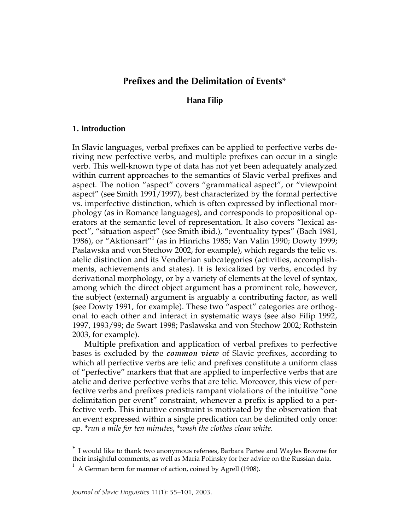# **Prefixes and the Delimitation of Events**\*

## **Hana Filip**

## **1. Introduction**

In Slavic languages, verbal prefixes can be applied to perfective verbs deriving new perfective verbs, and multiple prefixes can occur in a single verb. This well-known type of data has not yet been adequately analyzed within current approaches to the semantics of Slavic verbal prefixes and aspect. The notion "aspect" covers "grammatical aspect", or "viewpoint aspect" (see Smith 1991/1997), best characterized by the formal perfective vs. imperfective distinction, which is often expressed by inflectional morphology (as in Romance languages), and corresponds to propositional operators at the semantic level of representation. It also covers "lexical aspect", "situation aspect" (see Smith ibid.), "eventuality types" (Bach 1981, 1986), or "Aktionsart"<sup>1</sup> (as in Hinrichs 1985; Van Valin 1990; Dowty 1999; Paslawska and von Stechow 2002, for example), which regards the telic vs. atelic distinction and its Vendlerian subcategories (activities, accomplishments, achievements and states). It is lexicalized by verbs, encoded by derivational morphology, or by a variety of elements at the level of syntax, among which the direct object argument has a prominent role, however, the subject (external) argument is arguably a contributing factor, as well (see Dowty 1991, for example). These two "aspect" categories are orthogonal to each other and interact in systematic ways (see also Filip 1992, 1997, 1993/99; de Swart 1998; Paslawska and von Stechow 2002; Rothstein 2003, for example).

Multiple prefixation and application of verbal prefixes to perfective bases is excluded by the *common view* of Slavic prefixes, according to which all perfective verbs are telic and prefixes constitute a uniform class of "perfective" markers that that are applied to imperfective verbs that are atelic and derive perfective verbs that are telic. Moreover, this view of perfective verbs and prefixes predicts rampant violations of the intuitive "one delimitation per event" constraint, whenever a prefix is applied to a perfective verb. This intuitive constraint is motivated by the observation that an event expressed within a single predication can be delimited only once: cp. \**run a mile for ten minutes*, \**wash the clothes clean white.*

<sup>\*</sup> I would like to thank two anonymous referees, Barbara Partee and Wayles Browne for their insightful comments, as well as Maria Polinsky for her advice on the Russian data.

 $1$  A German term for manner of action, coined by Agrell (1908).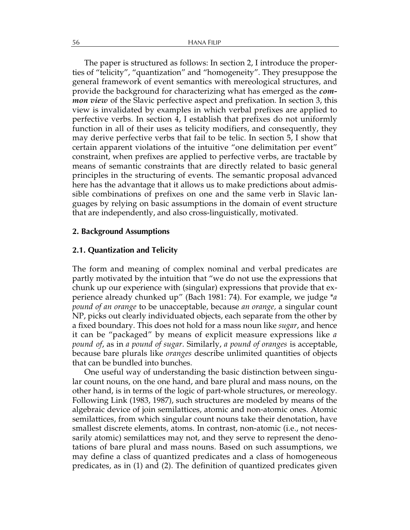The paper is structured as follows: In section 2, I introduce the properties of "telicity", "quantization" and "homogeneity". They presuppose the general framework of event semantics with mereological structures, and provide the background for characterizing what has emerged as the *common view* of the Slavic perfective aspect and prefixation. In section 3, this view is invalidated by examples in which verbal prefixes are applied to perfective verbs. In section 4, I establish that prefixes do not uniformly function in all of their uses as telicity modifiers, and consequently, they may derive perfective verbs that fail to be telic. In section 5, I show that certain apparent violations of the intuitive "one delimitation per event" constraint, when prefixes are applied to perfective verbs, are tractable by means of semantic constraints that are directly related to basic general principles in the structuring of events. The semantic proposal advanced here has the advantage that it allows us to make predictions about admissible combinations of prefixes on one and the same verb in Slavic languages by relying on basic assumptions in the domain of event structure that are independently, and also cross-linguistically, motivated.

## **2. Background Assumptions**

#### **2.1. Quantization and Telicity**

The form and meaning of complex nominal and verbal predicates are partly motivated by the intuition that "we do not use the expressions that chunk up our experience with (singular) expressions that provide that experience already chunked up" (Bach 1981: 74). For example, we judge \**a pound of an orange* to be unacceptable, because *an orange,* a singular count NP, picks out clearly individuated objects, each separate from the other by a fixed boundary. This does not hold for a mass noun like *sugar*, and hence it can be "packaged" by means of explicit measure expressions like *a pound of*, as in *a pound of sugar*. Similarly, *a pound of oranges* is acceptable, because bare plurals like *oranges* describe unlimited quantities of objects that can be bundled into bunches.

One useful way of understanding the basic distinction between singular count nouns, on the one hand, and bare plural and mass nouns, on the other hand, is in terms of the logic of part-whole structures, or mereology. Following Link (1983, 1987), such structures are modeled by means of the algebraic device of join semilattices, atomic and non-atomic ones. Atomic semilattices, from which singular count nouns take their denotation, have smallest discrete elements, atoms. In contrast, non-atomic (i.e., not necessarily atomic) semilattices may not, and they serve to represent the denotations of bare plural and mass nouns. Based on such assumptions, we may define a class of quantized predicates and a class of homogeneous predicates, as in (1) and (2). The definition of quantized predicates given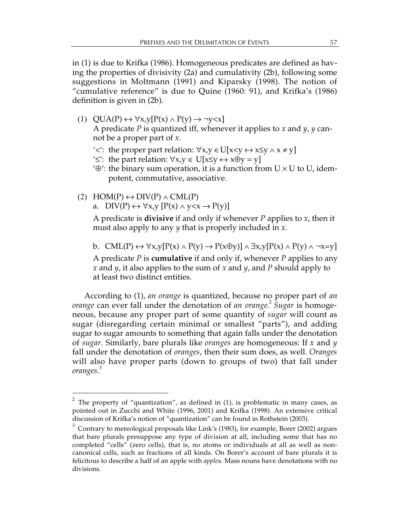in (1) is due to Krifka (1986). Homogeneous predicates are defined as having the properties of divisivity (2a) and cumulativity (2b), following some suggestions in Moltmann (1991) and Kiparsky (1998). The notion of "cumulative reference" is due to Quine (1960: 91), and Krifka's (1986) definition is given in (2b).

- (1)  $QUA(P) \leftrightarrow \forall x, y[P(x) \land P(y) \rightarrow \neg y \ll x]$ A predicate *P* is quantized iff, whenever it applies to *x* and *y*, *y* cannot be a proper part of *x*.
	- $\leq$ : the proper part relation:  $\forall x, y \in U[x \leq y \iff x \leq y \land x \neq y]$
	- '≤': the part relation:  $\forall x, y \in U[x\leq y \leftrightarrow x\oplus y = y]$
	- '⊕': the binary sum operation, it is a function from U × U to U, idempotent, commutative, associative.
- (2)  $HOM(P) \leftrightarrow DIV(P) \wedge CML(P)$

a. DIV(P)  $\leftrightarrow \forall x, y$  [P(x)  $\land y \leq x \rightarrow P(y)$ ]

A predicate is **divisive** if and only if whenever *P* applies to *x*, then it must also apply to any *y* that is properly included in *x*.

b. CML(P)  $\leftrightarrow \forall x,y[P(x) \land P(y) \rightarrow P(x\oplus y)] \land \exists x,y[P(x) \land P(y) \land \neg x=y]$ 

A predicate *P* is **cumulative** if and only if, whenever *P* applies to any *x* and *y*, it also applies to the sum of *x* and *y*, and *P* should apply to at least two distinct entities.

According to (1), *an orange* is quantized, because no proper part of *an orange* can ever fall under the denotation of *an orange*. <sup>2</sup> *Sugar* is homogeneous, because any proper part of some quantity of *sugar* will count as sugar (disregarding certain minimal or smallest "parts"), and adding sugar to sugar amounts to something that again falls under the denotation of *sugar.* Similarly, bare plurals like *oranges* are homogeneous: If *x* and *y* fall under the denotation of *oranges*, then their sum does, as well. *Oranges* will also have proper parts (down to groups of two) that fall under *oranges*. 3

 $2$  The property of "quantization", as defined in (1), is problematic in many cases, as pointed out in Zucchi and White (1996, 2001) and Krifka (1998). An extensive critical discussion of Krifka's notion of "quantization" can be found in Rothstein (2003).

 $^3$  Contrary to mereological proposals like Link's (1983), for example, Borer (2002) argues that bare plurals presuppose any type of division at all, including some that has no completed "cells" (zero cells), that is, no atoms or individuals at all as well as noncanonical cells, such as fractions of all kinds. On Borer's account of bare plurals it is felicitous to describe a half of an apple with *apple*s. Mass nouns have denotations with no divisions.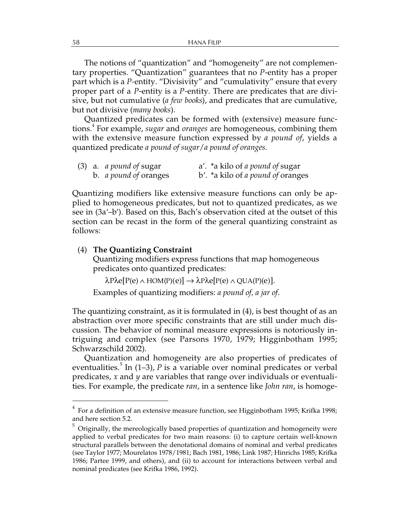The notions of "quantization" and "homogeneity" are not complementary properties. "Quantization" guarantees that no *P*-entity has a proper part which is a *P-*entity. "Divisivity" and "cumulativity" ensure that every proper part of a *P*-entity is a *P-*entity. There are predicates that are divisive, but not cumulative (*a few books*), and predicates that are cumulative, but not divisive (*many books*).

Quantized predicates can be formed with (extensive) measure functions.<sup>4</sup> For example, *sugar* and *oranges* are homogeneous, combining them with the extensive measure function expressed by *a pound of*, yields a quantized predicate *a pound of sugar*/*a pound of oranges*.

|  | $(3)$ a. <i>a pound of sugar</i> | a'. *a kilo of <i>a pound of</i> sugar   |
|--|----------------------------------|------------------------------------------|
|  | b. <i>a pound of oranges</i>     | b'. *a kilo of <i>a pound of</i> oranges |

Quantizing modifiers like extensive measure functions can only be applied to homogeneous predicates, but not to quantized predicates, as we see in (3a′–b′). Based on this, Bach's observation cited at the outset of this section can be recast in the form of the general quantizing constraint as follows:

### (4) **The Quantizing Constraint**

Quantizing modifiers express functions that map homogeneous predicates onto quantized predicates:

 $\lambda \text{P} \lambda \text{P}[\text{P}(\text{e}) \wedge \text{HOM}(\text{P})(\text{e})] \rightarrow \lambda \text{P} \lambda \text{P}[\text{P}(\text{e}) \wedge \text{QUA}(\text{P})(\text{e})].$ 

Examples of quantizing modifiers: *a pound of, a jar of*.

The quantizing constraint, as it is formulated in (4), is best thought of as an abstraction over more specific constraints that are still under much discussion. The behavior of nominal measure expressions is notoriously intriguing and complex (see Parsons 1970, 1979; Higginbotham 1995; Schwarzschild 2002).

Quantization and homogeneity are also properties of predicates of eventualities.<sup>5</sup> In (1–3)*, P* is a variable over nominal predicates or verbal predicates, *x* and *y* are variables that range over individuals or eventualities. For example, the predicate *ran*, in a sentence like *John ran*, is homoge-

 $^4\,$  For a definition of an extensive measure function, see Higginbotham 1995; Krifka 1998; and here section 5.2.

 $^5$  Originally, the mereologically based properties of quantization and homogeneity were applied to verbal predicates for two main reasons: (i) to capture certain well-known structural parallels between the denotational domains of nominal and verbal predicates (see Taylor 1977; Mourelatos 1978/1981; Bach 1981, 1986; Link 1987; Hinrichs 1985; Krifka 1986; Partee 1999, and others), and (ii) to account for interactions between verbal and nominal predicates (see Krifka 1986, 1992).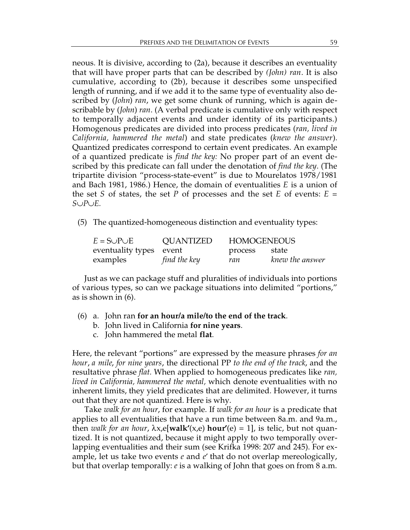neous. It is divisive, according to (2a), because it describes an eventuality that will have proper parts that can be described by *(John) ran*. It is also cumulative, according to (2b), because it describes some unspecified length of running, and if we add it to the same type of eventuality also described by (*John*) *ran*, we get some chunk of running, which is again describable by (*John*) *ran*. (A verbal predicate is cumulative only with respect to temporally adjacent events and under identity of its participants.) Homogenous predicates are divided into process predicates (*ran, lived in California, hammered the metal*) and state predicates (*knew the answer*). Quantized predicates correspond to certain event predicates. An example of a quantized predicate is *find the key:* No proper part of an event described by this predicate can fall under the denotation of *find the key*. (The tripartite division "process-state-event" is due to Mourelatos 1978/1981 and Bach 1981, 1986.) Hence, the domain of eventualities *E* is a union of the set *S* of states, the set *P* of processes and the set *E* of events: *E = S*∪*P*∪*E.*

(5) The quantized-homogeneous distinction and eventuality types:

| $E = S \cup P \cup E$   | <b>QUANTIZED</b> | <b>HOMOGENEOUS</b> |                 |
|-------------------------|------------------|--------------------|-----------------|
| eventuality types event |                  | process            | state           |
| examples                | find the key     | ran                | knew the answer |

Just as we can package stuff and pluralities of individuals into portions of various types, so can we package situations into delimited "portions," as is shown in (6).

- (6) a. John ran **for an hour/a mile/to the end of the track**.
	- b. John lived in California **for nine years**.
	- c. John hammered the metal **flat**.

Here, the relevant "portions" are expressed by the measure phrases *for an hour*, *a mile*, *for nine years*, the directional PP *to the end of the track*, and the resultative phrase *flat.* When applied to homogeneous predicates like *ran, lived in California, hammered the metal,* which denote eventualities with no inherent limits, they yield predicates that are delimited. However, it turns out that they are not quantized. Here is why.

Take *walk for an hour*, for example. If *walk for an hour* is a predicate that applies to all eventualities that have a run time between 8a.m. and 9a.m., then *walk for an hour*,  $\lambda x$ ,  $e$ [**walk'**( $x$ , $e$ ) **hour'**( $e$ ) = 1], is telic, but not quantized. It is not quantized, because it might apply to two temporally overlapping eventualities and their sum (see Krifka 1998: 207 and 245). For example, let us take two events *e* and *e*′ that do not overlap mereologically, but that overlap temporally: *e* is a walking of John that goes on from 8 a.m.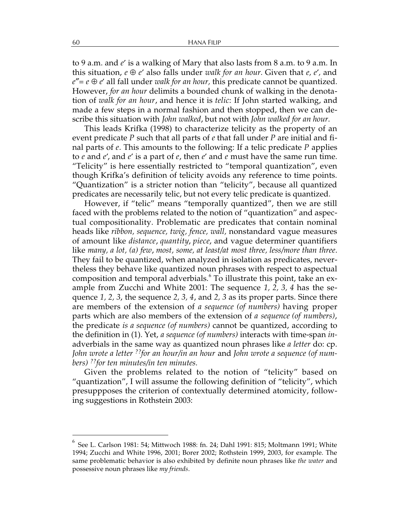to 9 a.m. and *e*′ is a walking of Mary that also lasts from 8 a.m. to 9 a.m. In this situation, *e* ⊕ *e*′ also falls under *walk for an hour.* Given that *e, e*′*,* and  $e^{\prime\prime} = e \oplus e^{\prime}$  all fall under *walk for an hour*, this predicate cannot be quantized. However, *for an hour* delimits a bounded chunk of walking in the denotation of *walk for an hour*, and hence it is *telic*: If John started walking, and made a few steps in a normal fashion and then stopped, then we can describe this situation with *John walked*, but not with *John walked for an hour*.

This leads Krifka (1998) to characterize telicity as the property of an event predicate *P* such that all parts of *e* that fall under *P* are initial and final parts of *e*. This amounts to the following: If a telic predicate *P* applies to *e* and *e*′, and *e*′ is a part of *e*, then *e*′ and *e* must have the same run time. "Telicity" is here essentially restricted to "temporal quantization", even though Krifka's definition of telicity avoids any reference to time points. "Quantization" is a stricter notion than "telicity", because all quantized predicates are necessarily telic, but not every telic predicate is quantized.

However, if "telic" means "temporally quantized", then we are still faced with the problems related to the notion of "quantization" and aspectual compositionality. Problematic are predicates that contain nominal heads like *ribbon, sequence, twig, fence, wall,* nonstandard vague measures of amount like *distance*, *quantity*, *piece*, and vague determiner quantifiers like *many, a lot, (a) few*, *most, some, at least/at most three, less/more than three*. They fail to be quantized, when analyzed in isolation as predicates, nevertheless they behave like quantized noun phrases with respect to aspectual composition and temporal adverbials. $\rm^6$  To illustrate this point, take an example from Zucchi and White 2001: The sequence *1, 2, 3, 4* has the sequence *1, 2, 3*, the sequence *2, 3, 4*, and *2, 3* as its proper parts. Since there are members of the extension of *a sequence (of numbers)* having proper parts which are also members of the extension of *a sequence (of numbers)*, the predicate *is a sequence (of numbers)* cannot be quantized, according to the definition in (1). Yet, *a sequence (of numbers)* interacts with time-span *in*adverbials in the same way as quantized noun phrases like *a letter* do: cp. *John wrote a letter ??for an hour/in an hour* and *John wrote a sequence (of numbers) ??for ten minutes/in ten minutes.*

Given the problems related to the notion of "telicity" based on "quantization", I will assume the following definition of "telicity", which presuppposes the criterion of contextually determined atomicity, following suggestions in Rothstein 2003:

<sup>6</sup> See L. Carlson 1981: 54; Mittwoch 1988: fn. 24; Dahl 1991: 815; Moltmann 1991; White 1994; Zucchi and White 1996, 2001; Borer 2002; Rothstein 1999, 2003, for example. The same problematic behavior is also exhibited by definite noun phrases like *the water* and possessive noun phrases like *my friends*.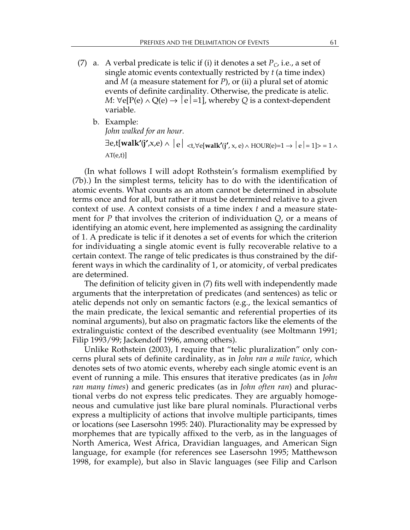- (7) a. A verbal predicate is telic if (i) it denotes a set  $P_C$ , i.e., a set of single atomic events contextually restricted by *t* (a time index) and *M* (a measure statement for *P*), or (ii) a plural set of atomic events of definite cardinality. Otherwise, the predicate is atelic. *M*:  $\forall$ e[P(e) ∧ Q(e) → |e|=1], whereby *Q* is a context-dependent variable.
	- b. Example: *John walked for an hour.*  $\exists$ **e**,t[**walk'**(**j'**,x,**e**)  $\land$   $|e| < t$ , $\forall$ **e**[**walk'**(**j'**, x, **e**)  $\land$  HOUR(**e**)=1  $\rightarrow$   $|e| = 1$ ]> = 1  $\land$  $AT(e,t)$ ]

(In what follows I will adopt Rothstein's formalism exemplified by (7b).) In the simplest terms, telicity has to do with the identification of atomic events. What counts as an atom cannot be determined in absolute terms once and for all, but rather it must be determined relative to a given context of use. A context consists of a time index *t* and a measure statement for *P* that involves the criterion of individuation *Q*, or a means of identifying an atomic event, here implemented as assigning the cardinality of 1. A predicate is telic if it denotes a set of events for which the criterion for individuating a single atomic event is fully recoverable relative to a certain context. The range of telic predicates is thus constrained by the different ways in which the cardinality of 1, or atomicity, of verbal predicates are determined.

The definition of telicity given in (7) fits well with independently made arguments that the interpretation of predicates (and sentences) as telic or atelic depends not only on semantic factors (e.g., the lexical semantics of the main predicate, the lexical semantic and referential properties of its nominal arguments), but also on pragmatic factors like the elements of the extralinguistic context of the described eventuality (see Moltmann 1991; Filip 1993/99; Jackendoff 1996, among others).

Unlike Rothstein (2003), I require that "telic pluralization" only concerns plural sets of definite cardinality, as in *John ran a mile twice*, which denotes sets of two atomic events, whereby each single atomic event is an event of running a mile. This ensures that iterative predicates (as in *John ran many times*) and generic predicates (as in *John often ran*) and pluractional verbs do not express telic predicates. They are arguably homogeneous and cumulative just like bare plural nominals. Pluractional verbs express a multiplicity of actions that involve multiple participants, times or locations (see Lasersohn 1995: 240). Pluractionality may be expressed by morphemes that are typically affixed to the verb, as in the languages of North America, West Africa, Dravidian languages, and American Sign language, for example (for references see Lasersohn 1995; Matthewson 1998, for example), but also in Slavic languages (see Filip and Carlson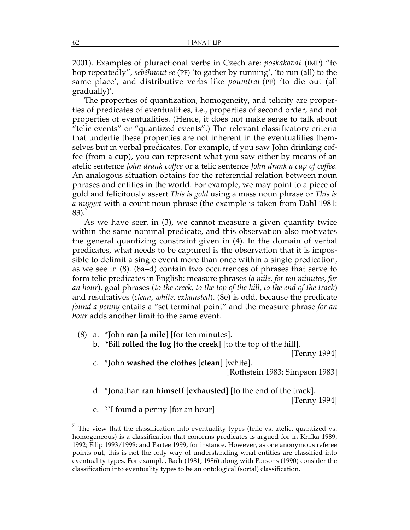2001). Examples of pluractional verbs in Czech are: *poskakovat* (IMP) "to hop repeatedly", *sebûhnout se* (PF) 'to gather by running', 'to run (all) to the same place', and distributive verbs like *poumírat* (PF) 'to die out (all gradually)'.

The properties of quantization, homogeneity, and telicity are properties of predicates of eventualities, i.e., properties of second order, and not properties of eventualities. (Hence, it does not make sense to talk about "telic events" or "quantized events".) The relevant classificatory criteria that underlie these properties are not inherent in the eventualities themselves but in verbal predicates. For example, if you saw John drinking coffee (from a cup), you can represent what you saw either by means of an atelic sentence *John drank coffee* or a telic sentence *John drank a cup of coffee*. An analogous situation obtains for the referential relation between noun phrases and entities in the world. For example, we may point to a piece of gold and felicitously assert *This is gold* using a mass noun phrase or *This is a nugget* with a count noun phrase (the example is taken from Dahl 1981:  $83$ ).

As we have seen in (3), we cannot measure a given quantity twice within the same nominal predicate, and this observation also motivates the general quantizing constraint given in (4). In the domain of verbal predicates, what needs to be captured is the observation that it is impossible to delimit a single event more than once within a single predication, as we see in (8). (8a–d) contain two occurrences of phrases that serve to form telic predicates in English: measure phrases (*a mile, for ten minutes, for an hour*), goal phrases (*to the creek, to the top of the hill, to the end of the track*) and resultatives (*clean, white, exhausted*). (8e) is odd, because the predicate *found a penny* entails a "set terminal point" and the measure phrase *for an hour* adds another limit to the same event.

- (8) a. \*John **ran** [**a mile**] [for ten minutes].
	- b. \*Bill **rolled the log** [**to the creek**] [to the top of the hill].

[Tenny 1994]

- c. \*John **washed the clothes** [**clean**] [white]. [Rothstein 1983; Simpson 1983]
- d. \*Jonathan **ran himself** [**exhausted**] [to the end of the track].

[Tenny 1994]

e. ??I found a penny [for an hour]

 $<sup>7</sup>$  The view that the classification into eventuality types (telic vs. atelic, quantized vs.</sup> homogeneous) is a classification that concerns predicates is argued for in Krifka 1989, 1992; Filip 1993/1999; and Partee 1999, for instance. However, as one anonymous referee points out, this is not the only way of understanding what entities are classified into eventuality types. For example, Bach (1981, 1986) along with Parsons (1990) consider the classification into eventuality types to be an ontological (sortal) classification.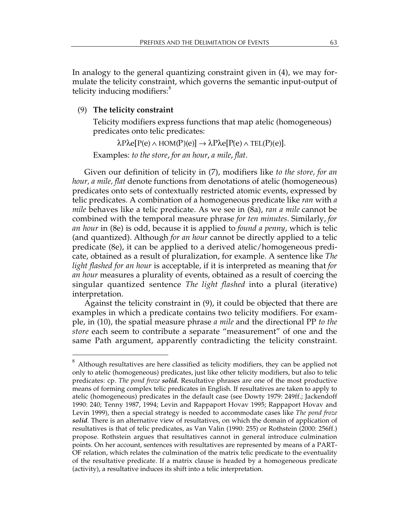In analogy to the general quantizing constraint given in (4), we may formulate the telicity constraint, which governs the semantic input-output of telicity inducing modifiers:<sup>8</sup>

## (9) **The telicity constraint**

Telicity modifiers express functions that map atelic (homogeneous) predicates onto telic predicates:

 $\lambda \text{P} \lambda \text{P}[\text{P}(\text{e}) \wedge \text{HOM}(\text{P})(\text{e})] \rightarrow \lambda \text{P} \lambda \text{P}[\text{P}(\text{e}) \wedge \text{TEL}(\text{P})(\text{e})].$ 

Examples: *to the store*, *for an hour*, *a mile*, *flat*.

Given our definition of telicity in (7), modifiers like *to the store, for an hour, a mile, flat* denote functions from denotations of atelic (homogeneous) predicates onto sets of contextually restricted atomic events, expressed by telic predicates. A combination of a homogeneous predicate like *ran* with *a mile* behaves like a telic predicate. As we see in (8a), *ran a mile* cannot be combined with the temporal measure phrase *for ten minutes*. Similarly, *for an hour* in (8e) is odd, because it is applied to *found a penny*, which is telic (and quantized). Although *for an hour* cannot be directly applied to a telic predicate (8e), it can be applied to a derived atelic/homogeneous predicate, obtained as a result of pluralization, for example. A sentence like *The light flashed for an hour* is acceptable, if it is interpreted as meaning that *for an hour* measures a plurality of events, obtained as a result of coercing the singular quantized sentence *The light flashed* into a plural (iterative) interpretation.

Against the telicity constraint in (9), it could be objected that there are examples in which a predicate contains two telicity modifiers. For example, in (10), the spatial measure phrase *a mile* and the directional PP *to the store* each seem to contribute a separate "measurement" of one and the same Path argument, apparently contradicting the telicity constraint.

 $^8$  Although resultatives are here classified as telicity modifiers, they can be applied not only to atelic (homogeneous) predicates, just like other telicity modifiers, but also to telic predicates: cp. *The pond froze solid***.** Resultative phrases are one of the most productive means of forming complex telic predicates in English. If resultatives are taken to apply to atelic (homogeneous) predicates in the default case (see Dowty 1979: 249ff.; Jackendoff 1990: 240; Tenny 1987, 1994; Levin and Rappaport Hovav 1995; Rappaport Hovav and Levin 1999), then a special strategy is needed to accommodate cases like *The pond froze solid.* There is an alternative view of resultatives, on which the domain of application of resultatives is that of telic predicates, as Van Valin (1990: 255) or Rothstein (2000: 256ff.) propose. Rothstein argues that resultatives cannot in general introduce culmination points. On her account, sentences with resultatives are represented by means of a PART-OF relation, which relates the culmination of the matrix telic predicate to the eventuality of the resultative predicate. If a matrix clause is headed by a homogeneous predicate (activity), a resultative induces its shift into a telic interpretation.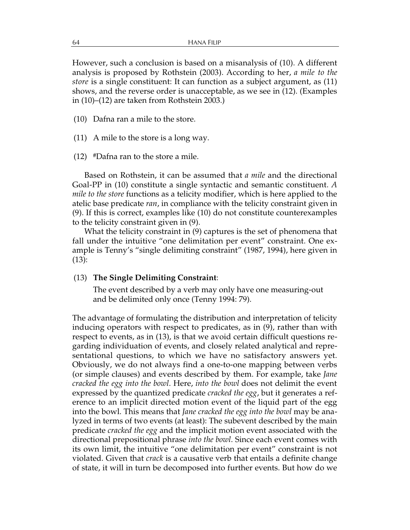However, such a conclusion is based on a misanalysis of (10). A different analysis is proposed by Rothstein (2003). According to her, *a mile to the store* is a single constituent: It can function as a subject argument, as (11) shows, and the reverse order is unacceptable, as we see in (12). (Examples in (10)–(12) are taken from Rothstein 2003.)

- (10) Dafna ran a mile to the store.
- (11) A mile to the store is a long way.
- (12) #Dafna ran to the store a mile.

Based on Rothstein, it can be assumed that *a mile* and the directional Goal-PP in (10) constitute a single syntactic and semantic constituent. *A mile to the store* functions as a telicity modifier, which is here applied to the atelic base predicate *ran*, in compliance with the telicity constraint given in (9). If this is correct, examples like (10) do not constitute counterexamples to the telicity constraint given in (9).

What the telicity constraint in (9) captures is the set of phenomena that fall under the intuitive "one delimitation per event" constraint. One example is Tenny's "single delimiting constraint" (1987, 1994), here given in (13):

## (13) **The Single Delimiting Constraint**:

The event described by a verb may only have one measuring-out and be delimited only once (Tenny 1994: 79).

The advantage of formulating the distribution and interpretation of telicity inducing operators with respect to predicates, as in (9), rather than with respect to events, as in (13), is that we avoid certain difficult questions regarding individuation of events, and closely related analytical and representational questions, to which we have no satisfactory answers yet. Obviously, we do not always find a one-to-one mapping between verbs (or simple clauses) and events described by them. For example, take *Jane cracked the egg into the bowl*. Here, *into the bowl* does not delimit the event expressed by the quantized predicate *cracked the egg*, but it generates a reference to an implicit directed motion event of the liquid part of the egg into the bowl. This means that *Jane cracked the egg into the bowl* may be analyzed in terms of two events (at least): The subevent described by the main predicate *cracked the egg* and the implicit motion event associated with the directional prepositional phrase *into the bowl*. Since each event comes with its own limit, the intuitive "one delimitation per event" constraint is not violated. Given that *crack* is a causative verb that entails a definite change of state, it will in turn be decomposed into further events. But how do we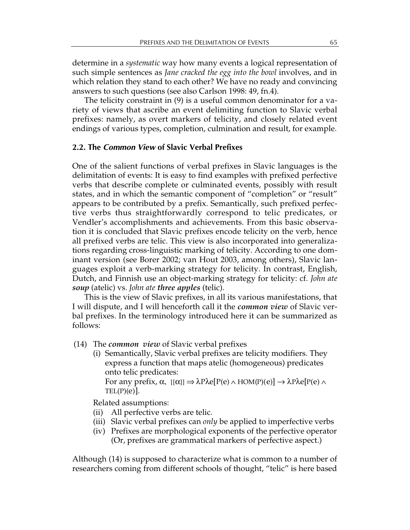determine in a *systematic* way how many events a logical representation of such simple sentences as *Jane cracked the egg into the bowl* involves, and in which relation they stand to each other? We have no ready and convincing answers to such questions (see also Carlson 1998: 49, fn.4).

The telicity constraint in (9) is a useful common denominator for a variety of views that ascribe an event delimiting function to Slavic verbal prefixes: namely, as overt markers of telicity, and closely related event endings of various types, completion, culmination and result, for example.

# **2.2. The** *Common View* **of Slavic Verbal Prefixes**

One of the salient functions of verbal prefixes in Slavic languages is the delimitation of events: It is easy to find examples with prefixed perfective verbs that describe complete or culminated events, possibly with result states, and in which the semantic component of "completion" or "result" appears to be contributed by a prefix. Semantically, such prefixed perfective verbs thus straightforwardly correspond to telic predicates, or Vendler's accomplishments and achievements. From this basic observation it is concluded that Slavic prefixes encode telicity on the verb, hence all prefixed verbs are telic. This view is also incorporated into generalizations regarding cross-linguistic marking of telicity. According to one dominant version (see Borer 2002; van Hout 2003, among others), Slavic languages exploit a verb-marking strategy for telicity. In contrast, English, Dutch, and Finnish use an object-marking strategy for telicity: cf. *John ate soup* (atelic) vs. *John ate three apples* (telic).

This is the view of Slavic prefixes, in all its various manifestations, that I will dispute, and I will henceforth call it the *common view* of Slavic verbal prefixes. In the terminology introduced here it can be summarized as follows:

- (14) The *common view* of Slavic verbal prefixes
	- (i) Semantically, Slavic verbal prefixes are telicity modifiers. They express a function that maps atelic (homogeneous) predicates onto telic predicates:

For any prefix,  $\alpha$ ,  $[[\alpha]] \Rightarrow \lambda P \lambda e[P(e) \wedge HOM(P)(e)] \rightarrow \lambda P \lambda e[P(e) \wedge$  $TEL(P)(e)].$ 

Related assumptions:

- (ii) All perfective verbs are telic.
- (iii) Slavic verbal prefixes can *only* be applied to imperfective verbs
- (iv) Prefixes are morphological exponents of the perfective operator (Or, prefixes are grammatical markers of perfective aspect.)

Although (14) is supposed to characterize what is common to a number of researchers coming from different schools of thought, "telic" is here based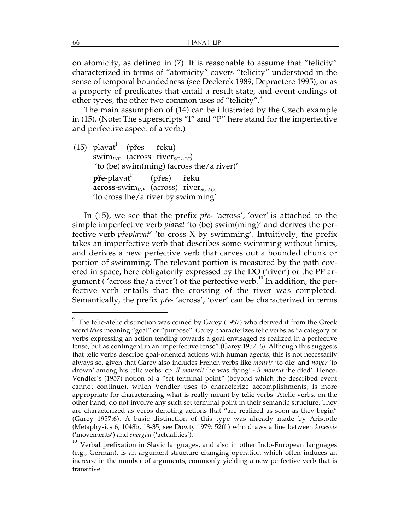on atomicity, as defined in (7). It is reasonable to assume that "telicity" characterized in terms of "atomicity" covers "telicity" understood in the sense of temporal boundedness (see Declerck 1989; Depraetere 1995), or as a property of predicates that entail a result state, and event endings of other types, the other two common uses of "telicity".<sup>9</sup>

The main assumption of (14) can be illustrated by the Czech example in (15). (Note: The superscripts "I" and "P" here stand for the imperfective and perfective aspect of a verb.)

(15) plavat<sup>1</sup> (přes řeku) swim*INF* (across river*SG.ACC*) 'to (be) swim(ming) (across the/a river)' **pře**-plavat<sup>r</sup> (přes) řeku **across**-swim<sub>INF</sub> (across) river<sub>SGACC</sub> 'to cross the/a river by swimming'

In (15), we see that the prefix *pfie-* 'across', 'over' is attached to the simple imperfective verb *plavat* 'to (be) swim(ming)' and derives the perfective verb *pfieplavat*′ 'to cross X by swimming'. Intuitively, the prefix takes an imperfective verb that describes some swimming without limits, and derives a new perfective verb that carves out a bounded chunk or portion of swimming. The relevant portion is measured by the path covered in space, here obligatorily expressed by the DO ('river') or the PP argument ( $'$ across the/a river') of the perfective verb.<sup>10</sup> In addition, the perfective verb entails that the crossing of the river was completed. Semantically, the prefix *pfie-* 'across', 'over' can be characterized in terms

 $9^9$  The telic-atelic distinction was coined by Garey (1957) who derived it from the Greek word *télos* meaning "goal" or "purpose". Garey characterizes telic verbs as "a category of verbs expressing an action tending towards a goal envisaged as realized in a perfective tense, but as contingent in an imperfective tense" (Garey 1957: 6). Although this suggests that telic verbs describe goal-oriented actions with human agents, this is not necessarily always so, given that Garey also includes French verbs like *mourir* 'to die' and *noyer* 'to drown' among his telic verbs: cp. *il mourait* 'he was dying' - *il mourut* 'he died'. Hence, Vendler's (1957) notion of a "set terminal point" (beyond which the described event cannot continue), which Vendler uses to characterize accomplishments, is more appropriate for characterizing what is really meant by telic verbs. Atelic verbs, on the other hand, do not involve any such set terminal point in their semantic structure. They are characterized as verbs denoting actions that "are realized as soon as they begin" (Garey 1957:6). A basic distinction of this type was already made by Aristotle (Metaphysics 6, 1048b, 18-35; see Dowty 1979: 52ff.) who draws a line between *kineseis* ('movements') and *energiai* ('actualities').

<sup>&</sup>lt;sup>10</sup> Verbal prefixation in Slavic languages, and also in other Indo-European languages (e.g., German), is an argument-structure changing operation which often induces an increase in the number of arguments, commonly yielding a new perfective verb that is transitive.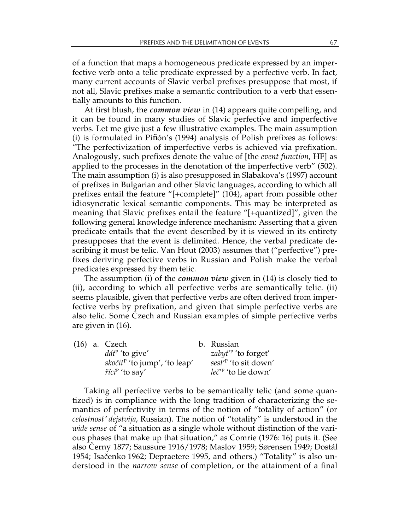of a function that maps a homogeneous predicate expressed by an imperfective verb onto a telic predicate expressed by a perfective verb. In fact, many current accounts of Slavic verbal prefixes presuppose that most, if not all, Slavic prefixes make a semantic contribution to a verb that essentially amounts to this function.

At first blush, the *common view* in (14) appears quite compelling, and it can be found in many studies of Slavic perfective and imperfective verbs. Let me give just a few illustrative examples. The main assumption (i) is formulated in Piñón's (1994) analysis of Polish prefixes as follows: "The perfectivization of imperfective verbs is achieved via prefixation. Analogously, such prefixes denote the value of [the *event function*, HF] as applied to the processes in the denotation of the imperfective verb" (502). The main assumption (i) is also presupposed in Slabakova's (1997) account of prefixes in Bulgarian and other Slavic languages, according to which all prefixes entail the feature "[+complete]" (104), apart from possible other idiosyncratic lexical semantic components. This may be interpreted as meaning that Slavic prefixes entail the feature "[+quantized]", given the following general knowledge inference mechanism: Asserting that a given predicate entails that the event described by it is viewed in its entirety presupposes that the event is delimited. Hence, the verbal predicate describing it must be telic. Van Hout (2003) assumes that ("perfective") prefixes deriving perfective verbs in Russian and Polish make the verbal predicates expressed by them telic.

The assumption (i) of the *common view* given in (14) is closely tied to (ii), according to which all perfective verbs are semantically telic. (ii) seems plausible, given that perfective verbs are often derived from imperfective verbs by prefixation, and given that simple perfective verbs are also telic. Some Czech and Russian examples of simple perfective verbs are given in (16).

|  | $(16)$ a. Czech                                | b. Russian                       |
|--|------------------------------------------------|----------------------------------|
|  | $d\hat{a}t^{\mathrm{P}}$ 'to give'             | zabyt' <sup>P</sup> 'to forget'  |
|  | <i>skočit<sup>P</sup></i> 'to jump', 'to leap' | sest <sup>'P</sup> 'to sit down' |
|  | <i>říci</i> <sup>P</sup> 'to say'              | leč <sup>r</sup> to lie down'    |
|  |                                                |                                  |

Taking all perfective verbs to be semantically telic (and some quantized) is in compliance with the long tradition of characterizing the semantics of perfectivity in terms of the notion of "totality of action" (or *celostnost*′ *dejstvija*, Russian). The notion of "totality" is understood in the *wide sense* of "a situation as a single whole without distinction of the various phases that make up that situation," as Comrie (1976: 16) puts it. (See also âerny 1877; Saussure 1916/1978; Maslov 1959; Sørensen 1949; Dostál 1954; Isaãenko 1962; Depraetere 1995, and others.) "Totality" is also understood in the *narrow sense* of completion, or the attainment of a final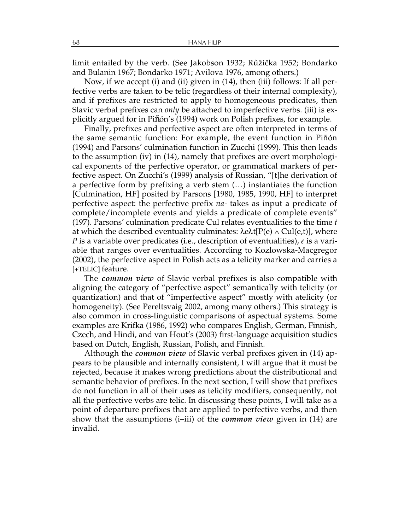limit entailed by the verb. (See Jakobson 1932; Růžička 1952; Bondarko and Bulanin 1967; Bondarko 1971; Avilova 1976, among others.)

Now, if we accept (i) and (ii) given in (14), then (iii) follows: If all perfective verbs are taken to be telic (regardless of their internal complexity), and if prefixes are restricted to apply to homogeneous predicates, then Slavic verbal prefixes can *only* be attached to imperfective verbs. (iii) is explicitly argued for in Piñón's (1994) work on Polish prefixes, for example.

Finally, prefixes and perfective aspect are often interpreted in terms of the same semantic function: For example, the event function in Piñón (1994) and Parsons' culmination function in Zucchi (1999). This then leads to the assumption (iv) in (14), namely that prefixes are overt morphological exponents of the perfective operator, or grammatical markers of perfective aspect. On Zucchi's (1999) analysis of Russian, "[t]he derivation of a perfective form by prefixing a verb stem (…) instantiates the function [Culmination, HF] posited by Parsons [1980, 1985, 1990, HF] to interpret perfective aspect: the perfective prefix *na-* takes as input a predicate of complete/incomplete events and yields a predicate of complete events" (197). Parsons' culmination predicate Cul relates eventualities to the time *t* at which the described eventuality culminates:  $\lambda$ eλt[P(e)  $\wedge$  Cul(e,t)], where *P* is a variable over predicates (i.e., description of eventualities), *e* is a variable that ranges over eventualities. According to Kozlowska-Macgregor (2002), the perfective aspect in Polish acts as a telicity marker and carries a [+TELIC] feature.

The *common view* of Slavic verbal prefixes is also compatible with aligning the category of "perfective aspect" semantically with telicity (or quantization) and that of "imperfective aspect" mostly with atelicity (or homogeneity). (See Pereltsvaig 2002, among many others.) This strategy is also common in cross-linguistic comparisons of aspectual systems. Some examples are Krifka (1986, 1992) who compares English, German, Finnish, Czech, and Hindi, and van Hout's (2003) first-language acquisition studies based on Dutch, English, Russian, Polish, and Finnish.

Although the *common view* of Slavic verbal prefixes given in (14) appears to be plausible and internally consistent, I will argue that it must be rejected, because it makes wrong predictions about the distributional and semantic behavior of prefixes. In the next section, I will show that prefixes do not function in all of their uses as telicity modifiers, consequently, not all the perfective verbs are telic. In discussing these points, I will take as a point of departure prefixes that are applied to perfective verbs, and then show that the assumptions (i–iii) of the *common view* given in (14) are invalid.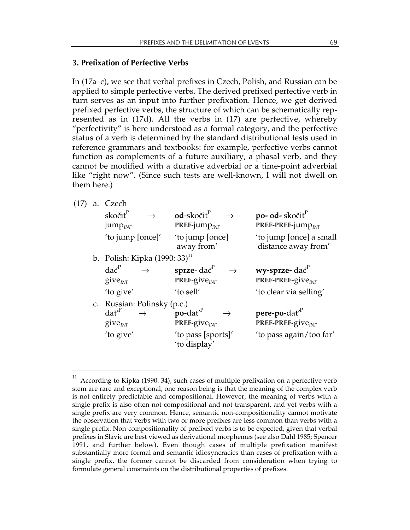### **3. Prefixation of Perfective Verbs**

In (17a–c), we see that verbal prefixes in Czech, Polish, and Russian can be applied to simple perfective verbs. The derived prefixed perfective verb in turn serves as an input into further prefixation. Hence, we get derived prefixed perfective verbs, the structure of which can be schematically represented as in (17d). All the verbs in (17) are perfective, whereby "perfectivity" is here understood as a formal category, and the perfective status of a verb is determined by the standard distributional tests used in reference grammars and textbooks: for example, perfective verbs cannot function as complements of a future auxiliary, a phasal verb, and they cannot be modified with a durative adverbial or a time-point adverbial like "right now". (Since such tests are well-known, I will not dwell on them here.)

(17) a. Czech

| skočit <sup>P</sup><br>$\rightarrow$<br>$jump_{INF}$                           | $od-skočitP$ $\rightarrow$<br><b>PREF-jump</b> $_{INF}$                     | <b>po- od-</b> skočit <sup>P</sup><br>PREF-PREF-jump $_{INF}$ |
|--------------------------------------------------------------------------------|-----------------------------------------------------------------------------|---------------------------------------------------------------|
| 'to jump [once]'                                                               | 'to jump [once]<br>away from'                                               | 'to jump [once] a small<br>distance away from'                |
| b. Polish: Kipka $(1990:33)^{11}$                                              |                                                                             |                                                               |
| $\text{da}\xi^{\text{P}}$<br>$give_{INF}$                                      | <b>sprze-</b> $da\acute{c}^P$<br>$\rightarrow$<br><b>PREF-give</b> $_{INF}$ | wy-sprze-dać <sup>P</sup><br>PREF-PREF-give <sub>INF</sub>    |
| 'to give'                                                                      | 'to sell'                                                                   | 'to clear via selling'                                        |
| c. Russian: Polinsky (p.c.)<br>$\text{dat}^P$<br>$\rightarrow$<br>$give_{INF}$ | $\mathbf{p}$ o-dat' <sup>r</sup><br><b>PREF-give</b> $_{INF}$               | pere-po-dat'<br><b>PREF-PREF-give</b> <sub>INF</sub>          |
| 'to give'                                                                      | 'to pass [sports]'<br>'to display'                                          | 'to pass again/too far'                                       |

According to Kipka (1990: 34), such cases of multiple prefixation on a perfective verb stem are rare and exceptional, one reason being is that the meaning of the complex verb is not entirely predictable and compositional. However, the meaning of verbs with a single prefix is also often not compositional and not transparent, and yet verbs with a single prefix are very common. Hence, semantic non-compositionality cannot motivate the observation that verbs with two or more prefixes are less common than verbs with a single prefix. Non-compositionality of prefixed verbs is to be expected, given that verbal prefixes in Slavic are best viewed as derivational morphemes (see also Dahl 1985; Spencer 1991, and further below). Even though cases of multiple prefixation manifest substantially more formal and semantic idiosyncracies than cases of prefixation with a single prefix, the former cannot be discarded from consideration when trying to formulate general constraints on the distributional properties of prefixes.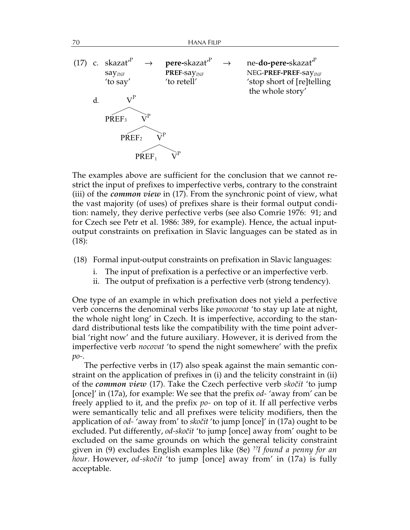

The examples above are sufficient for the conclusion that we cannot restrict the input of prefixes to imperfective verbs, contrary to the constraint (iii) of the *common view* in (17). From the synchronic point of view, what the vast majority (of uses) of prefixes share is their formal output condition: namely, they derive perfective verbs (see also Comrie 1976: 91; and for Czech see Petr et al. 1986: 389, for example). Hence, the actual inputoutput constraints on prefixation in Slavic languages can be stated as in (18):

- (18) Formal input-output constraints on prefixation in Slavic languages:
	- i. The input of prefixation is a perfective or an imperfective verb.
	- ii. The output of prefixation is a perfective verb (strong tendency).

One type of an example in which prefixation does not yield a perfective verb concerns the denominal verbs like *ponocovat* 'to stay up late at night, the whole night long' in Czech. It is imperfective, according to the standard distributional tests like the compatibility with the time point adverbial 'right now' and the future auxiliary. However, it is derived from the imperfective verb *nocovat* 'to spend the night somewhere' with the prefix *po-*.

The perfective verbs in (17) also speak against the main semantic constraint on the application of prefixes in (i) and the telicity constraint in (ii) of the *common view* (17). Take the Czech perfective verb *skoãit* 'to jump [once]' in (17a), for example: We see that the prefix *od-* 'away from' can be freely applied to it, and the prefix *po-* on top of it. If all perfective verbs were semantically telic and all prefixes were telicity modifiers, then the application of *od-* 'away from' to *skoãit* 'to jump [once]' in (17a) ought to be excluded. Put differently, *od-skoãit* 'to jump [once] away from' ought to be excluded on the same grounds on which the general telicity constraint given in (9) excludes English examples like (8e) ??*I found a penny for an hour*. However, *od-skoãit* 'to jump [once] away from' in (17a) is fully acceptable.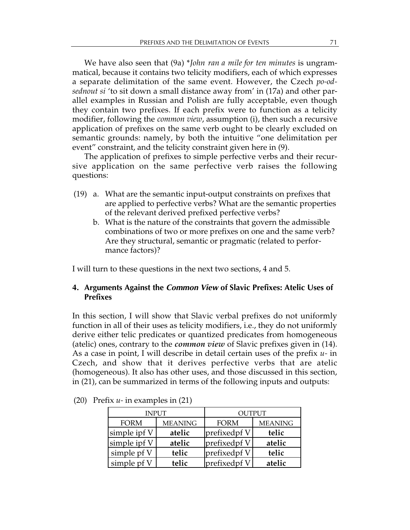We have also seen that (9a) \**John ran a mile for ten minutes* is ungrammatical, because it contains two telicity modifiers, each of which expresses a separate delimitation of the same event. However, the Czech *po-odsednout si* 'to sit down a small distance away from' in (17a) and other parallel examples in Russian and Polish are fully acceptable, even though they contain two prefixes. If each prefix were to function as a telicity modifier, following the *common view*, assumption (i), then such a recursive application of prefixes on the same verb ought to be clearly excluded on semantic grounds: namely, by both the intuitive "one delimitation per event" constraint, and the telicity constraint given here in (9).

The application of prefixes to simple perfective verbs and their recursive application on the same perfective verb raises the following questions:

- (19) a. What are the semantic input-output constraints on prefixes that are applied to perfective verbs? What are the semantic properties of the relevant derived prefixed perfective verbs?
	- b. What is the nature of the constraints that govern the admissible combinations of two or more prefixes on one and the same verb? Are they structural, semantic or pragmatic (related to performance factors)?

I will turn to these questions in the next two sections, 4 and 5.

# **4. Arguments Against the** *Common View* **of Slavic Prefixes: Atelic Uses of Prefixes**

In this section, I will show that Slavic verbal prefixes do not uniformly function in all of their uses as telicity modifiers, i.e., they do not uniformly derive either telic predicates or quantized predicates from homogeneous (atelic) ones, contrary to the *common view* of Slavic prefixes given in (14). As a case in point, I will describe in detail certain uses of the prefix *u-* in Czech, and show that it derives perfective verbs that are atelic (homogeneous). It also has other uses, and those discussed in this section, in (21), can be summarized in terms of the following inputs and outputs:

| <b>INPUT</b> |                | <b>OUTPUT</b> |                |  |
|--------------|----------------|---------------|----------------|--|
| <b>FORM</b>  | <b>MEANING</b> | <b>FORM</b>   | <b>MEANING</b> |  |
| simple ipf V | atelic         | prefixedpf V  | telic          |  |
| simple ipf V | atelic         | prefixedpf V  | atelic         |  |
| simple pf V  | telic          | prefixedpf V  | telic          |  |
| simple pf V  | telic          | prefixedpf V  | atelic         |  |

(20) Prefix *u-* in examples in (21)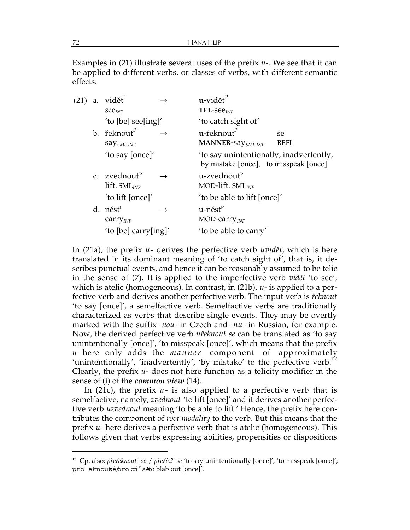Examples in (21) illustrate several uses of the prefix *u-*. We see that it can be applied to different verbs, or classes of verbs, with different semantic effects.

|  | $(21)$ a. vidět $^{I}$                   | u-vidět <sup>P</sup>                                                             |             |
|--|------------------------------------------|----------------------------------------------------------------------------------|-------------|
|  | $\sec_{INF}$                             | $TEL-seeINF$                                                                     |             |
|  | 'to [be] see[ing]'                       | 'to catch sight of'                                                              |             |
|  | b. řeknout <sup>P</sup>                  | $u$ -řeknout $v^{\rm p}$                                                         | se          |
|  | say <sub>SML.INF</sub>                   | <b>MANNER-SAY</b> SML.INF                                                        | <b>REFL</b> |
|  | 'to say [once]'                          | 'to say unintentionally, inadvertently,<br>by mistake [once], to misspeak [once] |             |
|  | c. $z$ vednout <sup><math>P</math></sup> | u-zvednout <sup>P</sup>                                                          |             |
|  | lift. $SML_{INF}$                        | MOD-lift. $SML_{INF}$                                                            |             |
|  | 'to lift [once]'                         | 'to be able to lift [once]'                                                      |             |
|  | d. nést <sup>i</sup>                     | u-nést <sup>P</sup>                                                              |             |
|  | $carry_{INF}$                            | MOD-carry $_{INF}$                                                               |             |
|  | 'to [be] carry[ing]'                     | 'to be able to carry'                                                            |             |
|  |                                          |                                                                                  |             |

In (21a), the prefix *u-* derives the perfective verb *uvidût*, which is here translated in its dominant meaning of 'to catch sight of', that is, it describes punctual events, and hence it can be reasonably assumed to be telic in the sense of (7). It is applied to the imperfective verb *vidût* 'to see', which is atelic (homogeneous). In contrast, in (21b), *u-* is applied to a perfective verb and derives another perfective verb. The input verb is *fieknout* 'to say [once]', a semelfactive verb. Semelfactive verbs are traditionally characterized as verbs that describe single events. They may be overtly marked with the suffix *-nou-* in Czech and *-nu-* in Russian, for example. Now, the derived perfective verb *ufieknout se* can be translated as 'to say unintentionally [once]', 'to misspeak [once]', which means that the prefix *u-* here only adds the *manner* component of approximately 'unintentionally', 'inadvertently', 'by mistake' to the perfective verb. $^{12}$ Clearly, the prefix *u-* does not here function as a telicity modifier in the sense of (i) of the *common view* (14).

In (21c), the prefix *u-* is also applied to a perfective verb that is semelfactive, namely, *zvednout* 'to lift [once]' and it derives another perfective verb *uzvednout* meaning 'to be able to lift.' Hence, the prefix here contributes the component of *root modality* to the verb. But this means that the prefix *u-* here derives a perfective verb that is atelic (homogeneous). This follows given that verbs expressing abilities, propensities or dispositions

<sup>&</sup>lt;sup>12</sup> Cp. also: *přeřeknout<sup>p</sup> se / přeříci<sup>p</sup> se '*to say unintentionally [once]', 'to misspeak [once]'; pro eknou<mark>s</mark>epro ɗi<sup>r</sup> s<mark>éto blab out [once]'</mark>.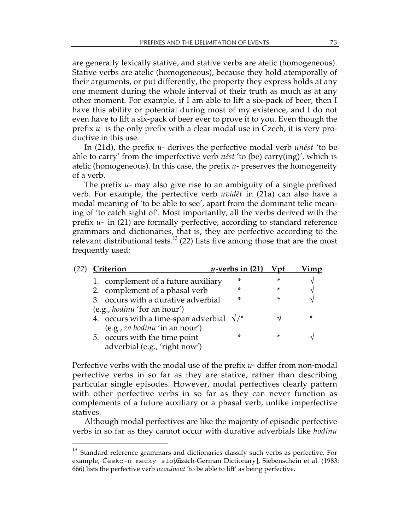are generally lexically stative, and stative verbs are atelic (homogeneous). Stative verbs are atelic (homogeneous), because they hold atemporally of their arguments, or put differently, the property they express holds at any one moment during the whole interval of their truth as much as at any other moment. For example, if I am able to lift a six-pack of beer, then I have this ability or potential during most of my existence, and I do not even have to lift a six-pack of beer ever to prove it to you. Even though the prefix *u-* is the only prefix with a clear modal use in Czech, it is very productive in this use.

In (21d), the prefix *u-* derives the perfective modal verb *unést* 'to be able to carry' from the imperfective verb *nést* 'to (be) carry(ing)', which is atelic (homogeneous). In this case, the prefix *u-* preserves the homogeneity of a verb.

The prefix *u-* may also give rise to an ambiguity of a single prefixed verb. For example, the perfective verb *uvidût* in (21a) can also have a modal meaning of 'to be able to see', apart from the dominant telic meaning of 'to catch sight of'. Most importantly, all the verbs derived with the prefix *u-* in (21) are formally perfective, according to standard reference grammars and dictionaries, that is, they are perfective according to the relevant distributional tests.<sup>13</sup> (22) lists five among those that are the most frequently used:

| <b>Criterion</b>                                   | $u$ -verbs in (21) |   |   |
|----------------------------------------------------|--------------------|---|---|
| 1. complement of a future auxiliary                | *                  | * |   |
| 2. complement of a phasal verb                     | *                  | * |   |
| 3. occurs with a durative adverbial                | $\ast$             | * |   |
| (e.g., <i>hodinu</i> 'for an hour')                |                    |   |   |
| 4. occurs with a time-span adverbial $\sqrt[3]{*}$ |                    |   | ∗ |
| (e.g., za hodinu 'in an hour')                     |                    |   |   |
| 5. occurs with the time point                      | *                  | * |   |
| adverbial (e.g., 'right now')                      |                    |   |   |
|                                                    |                    |   |   |

Perfective verbs with the modal use of the prefix *u-* differ from non-modal perfective verbs in so far as they are stative, rather than describing particular single episodes. However, modal perfectives clearly pattern with other perfective verbs in so far as they can never function as complements of a future auxiliary or a phasal verb, unlike imperfective statives.

Although modal perfectives are like the majority of episodic perfective verbs in so far as they cannot occur with durative adverbials like *hodinu*

<sup>&</sup>lt;sup>13</sup> Standard reference grammars and dictionaries classify such verbs as perfective. For example, *Ĉesko-n mecky slof Gazech-German Dictionary]*, Siebenschein et al. (1983: 666) lists the perfective verb *uzvednout* 'to be able to lift' as being perfective.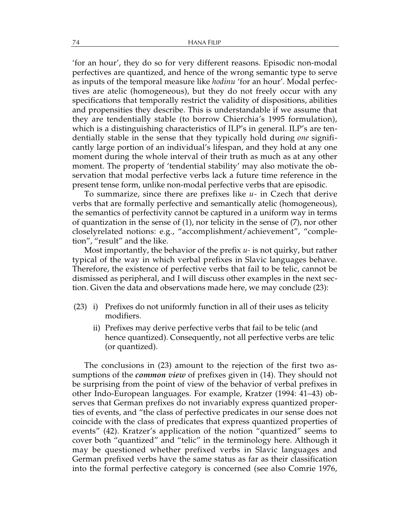'for an hour', they do so for very different reasons. Episodic non-modal perfectives are quantized, and hence of the wrong semantic type to serve as inputs of the temporal measure like *hodinu* 'for an hour'. Modal perfectives are atelic (homogeneous), but they do not freely occur with any specifications that temporally restrict the validity of dispositions, abilities and propensities they describe. This is understandable if we assume that they are tendentially stable (to borrow Chierchia's 1995 formulation), which is a distinguishing characteristics of ILP's in general. ILP's are tendentially stable in the sense that they typically hold during *one* significantly large portion of an individual's lifespan, and they hold at any one moment during the whole interval of their truth as much as at any other moment. The property of 'tendential stability' may also motivate the observation that modal perfective verbs lack a future time reference in the present tense form, unlike non-modal perfective verbs that are episodic.

To summarize, since there are prefixes like *u-* in Czech that derive verbs that are formally perfective and semantically atelic (homogeneous), the semantics of perfectivity cannot be captured in a uniform way in terms of quantization in the sense of (1), nor telicity in the sense of (7), nor other closelyrelated notions: e.g., "accomplishment/achievement", "completion", "result" and the like.

Most importantly, the behavior of the prefix *u-* is not quirky, but rather typical of the way in which verbal prefixes in Slavic languages behave. Therefore, the existence of perfective verbs that fail to be telic, cannot be dismissed as peripheral, and I will discuss other examples in the next section. Given the data and observations made here, we may conclude (23):

- (23) i) Prefixes do not uniformly function in all of their uses as telicity modifiers.
	- ii) Prefixes may derive perfective verbs that fail to be telic (and hence quantized). Consequently, not all perfective verbs are telic (or quantized).

The conclusions in (23) amount to the rejection of the first two assumptions of the *common view* of prefixes given in (14). They should not be surprising from the point of view of the behavior of verbal prefixes in other Indo-European languages. For example, Kratzer (1994: 41–43) observes that German prefixes do not invariably express quantized properties of events, and "the class of perfective predicates in our sense does not coincide with the class of predicates that express quantized properties of events" (42). Kratzer's application of the notion "quantized" seems to cover both "quantized" and "telic" in the terminology here. Although it may be questioned whether prefixed verbs in Slavic languages and German prefixed verbs have the same status as far as their classification into the formal perfective category is concerned (see also Comrie 1976,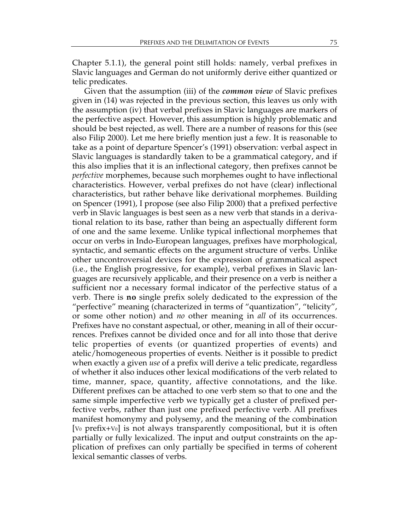Chapter 5.1.1), the general point still holds: namely, verbal prefixes in Slavic languages and German do not uniformly derive either quantized or telic predicates.

Given that the assumption (iii) of the *common view* of Slavic prefixes given in (14) was rejected in the previous section, this leaves us only with the assumption (iv) that verbal prefixes in Slavic languages are markers of the perfective aspect. However, this assumption is highly problematic and should be best rejected, as well. There are a number of reasons for this (see also Filip 2000). Let me here briefly mention just a few. It is reasonable to take as a point of departure Spencer's (1991) observation: verbal aspect in Slavic languages is standardly taken to be a grammatical category, and if this also implies that it is an inflectional category, then prefixes cannot be *perfective* morphemes, because such morphemes ought to have inflectional characteristics. However, verbal prefixes do not have (clear) inflectional characteristics, but rather behave like derivational morphemes. Building on Spencer (1991), I propose (see also Filip 2000) that a prefixed perfective verb in Slavic languages is best seen as a new verb that stands in a derivational relation to its base, rather than being an aspectually different form of one and the same lexeme. Unlike typical inflectional morphemes that occur on verbs in Indo-European languages, prefixes have morphological, syntactic, and semantic effects on the argument structure of verbs. Unlike other uncontroversial devices for the expression of grammatical aspect (i.e., the English progressive, for example), verbal prefixes in Slavic languages are recursively applicable, and their presence on a verb is neither a sufficient nor a necessary formal indicator of the perfective status of a verb. There is **no** single prefix solely dedicated to the expression of the "perfective" meaning (characterized in terms of "quantization", "telicity", or some other notion) and *no* other meaning in *all* of its occurrences. Prefixes have no constant aspectual, or other, meaning in all of their occurrences. Prefixes cannot be divided once and for all into those that derive telic properties of events (or quantized properties of events) and atelic/homogeneous properties of events. Neither is it possible to predict when exactly a given *use* of a prefix will derive a telic predicate, regardless of whether it also induces other lexical modifications of the verb related to time, manner, space, quantity, affective connotations, and the like. Different prefixes can be attached to one verb stem so that to one and the same simple imperfective verb we typically get a cluster of prefixed perfective verbs, rather than just one prefixed perfective verb. All prefixes manifest homonymy and polysemy, and the meaning of the combination [V0 prefix+V0] is not always transparently compositional, but it is often partially or fully lexicalized. The input and output constraints on the application of prefixes can only partially be specified in terms of coherent lexical semantic classes of verbs.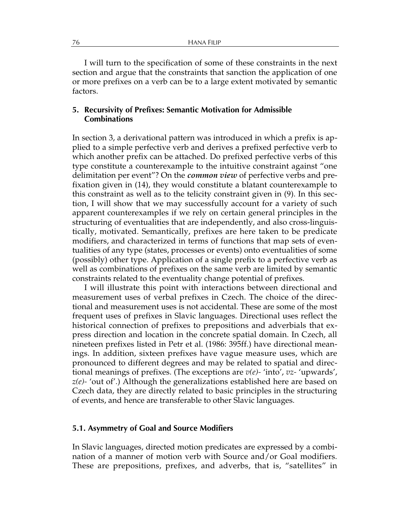I will turn to the specification of some of these constraints in the next section and argue that the constraints that sanction the application of one or more prefixes on a verb can be to a large extent motivated by semantic factors.

# **5. Recursivity of Prefixes: Semantic Motivation for Admissible Combinations**

In section 3, a derivational pattern was introduced in which a prefix is applied to a simple perfective verb and derives a prefixed perfective verb to which another prefix can be attached. Do prefixed perfective verbs of this type constitute a counterexample to the intuitive constraint against "one delimitation per event"? On the *common view* of perfective verbs and prefixation given in (14), they would constitute a blatant counterexample to this constraint as well as to the telicity constraint given in (9). In this section, I will show that we may successfully account for a variety of such apparent counterexamples if we rely on certain general principles in the structuring of eventualities that are independently, and also cross-linguistically, motivated. Semantically, prefixes are here taken to be predicate modifiers, and characterized in terms of functions that map sets of eventualities of any type (states, processes or events) onto eventualities of some (possibly) other type. Application of a single prefix to a perfective verb as well as combinations of prefixes on the same verb are limited by semantic constraints related to the eventuality change potential of prefixes.

I will illustrate this point with interactions between directional and measurement uses of verbal prefixes in Czech. The choice of the directional and measurement uses is not accidental. These are some of the most frequent uses of prefixes in Slavic languages. Directional uses reflect the historical connection of prefixes to prepositions and adverbials that express direction and location in the concrete spatial domain. In Czech, all nineteen prefixes listed in Petr et al. (1986: 395ff.) have directional meanings. In addition, sixteen prefixes have vague measure uses, which are pronounced to different degrees and may be related to spatial and directional meanings of prefixes. (The exceptions are *v(e)-* 'into', *vz-* 'upwards', *z(e)-* 'out of'.) Although the generalizations established here are based on Czech data, they are directly related to basic principles in the structuring of events, and hence are transferable to other Slavic languages.

#### **5.1. Asymmetry of Goal and Source Modifiers**

In Slavic languages, directed motion predicates are expressed by a combination of a manner of motion verb with Source and/or Goal modifiers. These are prepositions, prefixes, and adverbs, that is, "satellites" in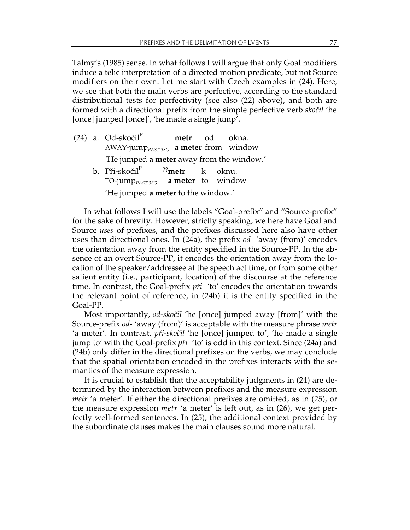Talmy's (1985) sense. In what follows I will argue that only Goal modifiers induce a telic interpretation of a directed motion predicate, but not Source modifiers on their own. Let me start with Czech examples in (24). Here, we see that both the main verbs are perfective, according to the standard distributional tests for perfectivity (see also (22) above), and both are formed with a directional prefix from the simple perfective verb *skoãil* 'he [once] jumped [once]', 'he made a single jump'.

- (24) a. Od-skoãil<sup>P</sup> **metr** od okna. AWAY-jump*PAST.3SG* **a meter** from window 'He jumped **a meter** away from the window.'
	- b. Při-skočil<sup>P</sup> <sup>??</sup>metr k oknu. TO-jump*PAST.3SG* **a** meter to window 'He jumped **a meter** to the window.'

In what follows I will use the labels "Goal-prefix" and "Source-prefix" for the sake of brevity. However, strictly speaking, we here have Goal and Source *uses* of prefixes, and the prefixes discussed here also have other uses than directional ones. In (24a), the prefix *od-* 'away (from)' encodes the orientation away from the entity specified in the Source-PP. In the absence of an overt Source-PP, it encodes the orientation away from the location of the speaker/addressee at the speech act time, or from some other salient entity (i.e., participant, location) of the discourse at the reference time. In contrast, the Goal-prefix *při*- 'to' encodes the orientation towards the relevant point of reference, in (24b) it is the entity specified in the Goal-PP.

Most importantly, *od-skoãil* 'he [once] jumped away [from]' with the Source-prefix *od*- 'away (from)' is acceptable with the measure phrase *metr* 'a meter'. In contrast, *pfii-skoãil* 'he [once] jumped to', 'he made a single jump to' with the Goal-prefix *pfii-* 'to' is odd in this context. Since (24a) and (24b) only differ in the directional prefixes on the verbs, we may conclude that the spatial orientation encoded in the prefixes interacts with the semantics of the measure expression.

It is crucial to establish that the acceptability judgments in (24) are determined by the interaction between prefixes and the measure expression *metr* 'a meter'. If either the directional prefixes are omitted, as in (25), or the measure expression *metr* 'a meter' is left out, as in (26), we get perfectly well-formed sentences. In (25), the additional context provided by the subordinate clauses makes the main clauses sound more natural.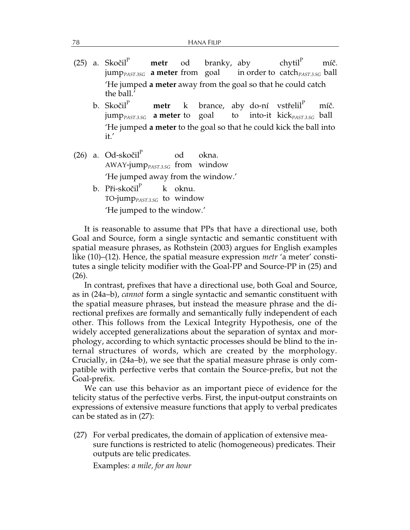- (25) a. Skoãil<sup>P</sup> **metr** od branky, aby chytil<sup>P</sup> míã. jump<sub>PAST.3SG</sub> **a meter** from goal in order to catch<sub>PAST.3.SG</sub> ball 'He jumped **a meter** away from the goal so that he could catch the ball.'
	- b. Skočil<sup>P</sup> **metr** k brance, aby do-ní vstřelil<sup>P</sup> míč. jump<sub>PAST.3.SG</sub> **a meter** to goal to into-it kick<sub>PAST.3.SG</sub> ball 'He jumped **a meter** to the goal so that he could kick the ball into it.'
- (26) a. Od-skočil<sup>r</sup> od okna. AWAY-jump*PAST.3.SG* from window 'He jumped away from the window.'
	- b. Při-skočil<sup>P</sup>k oknu. TO-jump*PAST.3.SG* to window 'He jumped to the window.'

It is reasonable to assume that PPs that have a directional use, both Goal and Source, form a single syntactic and semantic constituent with spatial measure phrases, as Rothstein (2003) argues for English examples like (10)–(12). Hence, the spatial measure expression *metr* 'a meter' constitutes a single telicity modifier with the Goal-PP and Source-PP in (25) and (26).

In contrast, prefixes that have a directional use, both Goal and Source, as in (24a–b), *cannot* form a single syntactic and semantic constituent with the spatial measure phrases, but instead the measure phrase and the directional prefixes are formally and semantically fully independent of each other. This follows from the Lexical Integrity Hypothesis, one of the widely accepted generalizations about the separation of syntax and morphology, according to which syntactic processes should be blind to the internal structures of words, which are created by the morphology. Crucially, in (24a–b), we see that the spatial measure phrase is only compatible with perfective verbs that contain the Source-prefix, but not the Goal-prefix.

We can use this behavior as an important piece of evidence for the telicity status of the perfective verbs. First, the input-output constraints on expressions of extensive measure functions that apply to verbal predicates can be stated as in (27):

(27) For verbal predicates, the domain of application of extensive measure functions is restricted to atelic (homogeneous) predicates. Their outputs are telic predicates.

Examples: *a mile, for an hour*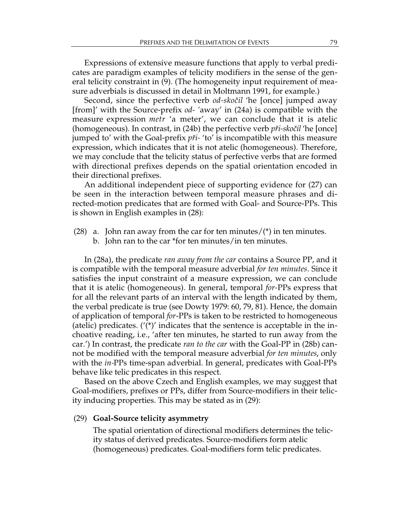Expressions of extensive measure functions that apply to verbal predicates are paradigm examples of telicity modifiers in the sense of the general telicity constraint in (9). (The homogeneity input requirement of measure adverbials is discussed in detail in Moltmann 1991, for example.)

Second, since the perfective verb *od-skoãil* 'he [once] jumped away [from]' with the Source-prefix *od- '*away' in (24a) is compatible with the measure expression *metr* 'a meter', we can conclude that it is atelic (homogeneous). In contrast, in (24b) the perfective verb *pfii-skoãil* 'he [once] jumped to' with the Goal-prefix *pfii-* 'to' is incompatible with this measure expression, which indicates that it is not atelic (homogeneous). Therefore, we may conclude that the telicity status of perfective verbs that are formed with directional prefixes depends on the spatial orientation encoded in their directional prefixes.

An additional independent piece of supporting evidence for (27) can be seen in the interaction between temporal measure phrases and directed-motion predicates that are formed with Goal- and Source-PPs. This is shown in English examples in (28):

(28) a. John ran away from the car for ten minutes/ $(*)$  in ten minutes. b. John ran to the car \*for ten minutes/in ten minutes.

In (28a), the predicate *ran away from the car* contains a Source PP, and it is compatible with the temporal measure adverbial *for ten minutes*. Since it satisfies the input constraint of a measure expression, we can conclude that it is atelic (homogeneous). In general, temporal *for-*PPs express that for all the relevant parts of an interval with the length indicated by them, the verbal predicate is true (see Dowty 1979: 60, 79, 81). Hence, the domain of application of temporal *for*-PPs is taken to be restricted to homogeneous (atelic) predicates.  $('*)'$  indicates that the sentence is acceptable in the inchoative reading, i.e., 'after ten minutes, he started to run away from the car.') In contrast, the predicate *ran to the car* with the Goal-PP in (28b) cannot be modified with the temporal measure adverbial *for ten minutes*, only with the *in-*PPs time-span adverbial. In general, predicates with Goal-PPs behave like telic predicates in this respect.

Based on the above Czech and English examples, we may suggest that Goal-modifiers, prefixes or PPs, differ from Source-modifiers in their telicity inducing properties. This may be stated as in (29):

#### (29) **Goal-Source telicity asymmetry**

The spatial orientation of directional modifiers determines the telicity status of derived predicates. Source-modifiers form atelic (homogeneous) predicates. Goal-modifiers form telic predicates.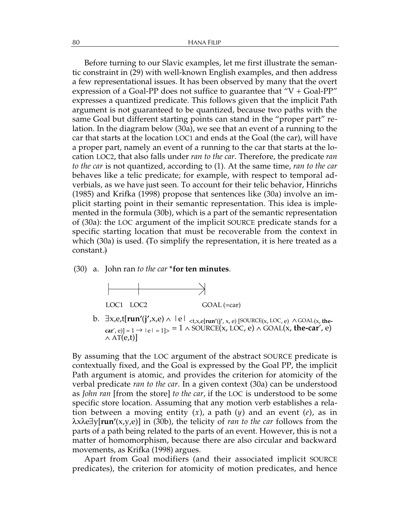Before turning to our Slavic examples, let me first illustrate the semantic constraint in (29) with well-known English examples, and then address a few representational issues. It has been observed by many that the overt expression of a Goal-PP does not suffice to guarantee that  $"V + Goal-PP"$ expresses a quantized predicate. This follows given that the implicit Path argument is not guaranteed to be quantized, because two paths with the same Goal but different starting points can stand in the "proper part" relation. In the diagram below (30a), we see that an event of a running to the car that starts at the location LOC1 and ends at the Goal (the car), will have a proper part, namely an event of a running to the car that starts at the location LOC2, that also falls under *ran to the car*. Therefore, the predicate *ran to the car* is not quantized, according to (1). At the same time, *ran to the car* behaves like a telic predicate; for example, with respect to temporal adverbials, as we have just seen. To account for their telic behavior, Hinrichs (1985) and Krifka (1998) propose that sentences like (30a) involve an implicit starting point in their semantic representation. This idea is implemented in the formula (30b), which is a part of the semantic representation of (30a): the LOC argument of the implicit SOURCE predicate stands for a specific starting location that must be recoverable from the context in which (30a) is used. (To simplify the representation, it is here treated as a constant.)

(30) a. John ran *to the car* \***for ten minutes**.



b.  $\exists x, e, t$ [run'(**j'**,x,e) ∧ |e| <sub><t,x,e[run'(**j'**, x, e) [SOURCE(x, LOC, e) ∧ GOAL(x, the-</sub>  $\text{car}'$ , e)] = 1 →  $|e| = 1$  > = 1 ∧ SOURCE(x, LOC, e) ∧ GOAL(x, **the-car'**, e)  $\wedge$  AT(e,t)]

By assuming that the LOC argument of the abstract SOURCE predicate is contextually fixed, and the Goal is expressed by the Goal PP, the implicit Path argument is atomic, and provides the criterion for atomicity of the verbal predicate *ran to the car*. In a given context (30a) can be understood as *John ran* [from the store] *to the car*, if the LOC is understood to be some specific store location. Assuming that any motion verb establishes a relation between a moving entity (*x*), a path (*y*) and an event (*e*), as in λxλe∃y[**run'**(x,y,e)] in (30b), the telicity of *ran to the car* follows from the parts of a path being related to the parts of an event. However, this is not a matter of homomorphism, because there are also circular and backward movements, as Krifka (1998) argues.

Apart from Goal modifiers (and their associated implicit SOURCE predicates), the criterion for atomicity of motion predicates, and hence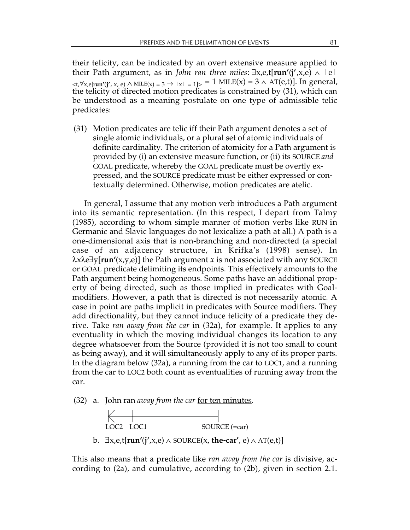their telicity, can be indicated by an overt extensive measure applied to their Path argument, as in *John ran three miles*: ∃x,e,t[**run'**(**j'**,x,e) ∧ |e| <t,∀x,e[**run'**(**j'**, x, e) ∧ MILE(x) = 3 → |x| = 1]> = 1 MILE(x) = 3 ∧ AT(e,t)]. In general, the telicity of directed motion predicates is constrained by (31), which can be understood as a meaning postulate on one type of admissible telic predicates:

(31) Motion predicates are telic iff their Path argument denotes a set of single atomic individuals, or a plural set of atomic individuals of definite cardinality. The criterion of atomicity for a Path argument is provided by (i) an extensive measure function, or (ii) its SOURCE *and* GOAL predicate, whereby the GOAL predicate must be overtly expressed, and the SOURCE predicate must be either expressed or contextually determined. Otherwise, motion predicates are atelic.

In general, I assume that any motion verb introduces a Path argument into its semantic representation. (In this respect, I depart from Talmy (1985), according to whom simple manner of motion verbs like RUN in Germanic and Slavic languages do not lexicalize a path at all.) A path is a one-dimensional axis that is non-branching and non-directed (a special case of an adjacency structure, in Krifka's (1998) sense). In λxλe∃y[**run'**(x,y,e)] the Path argument *x* is not associated with any SOURCE or GOAL predicate delimiting its endpoints. This effectively amounts to the Path argument being homogeneous. Some paths have an additional property of being directed, such as those implied in predicates with Goalmodifiers. However, a path that is directed is not necessarily atomic. A case in point are paths implicit in predicates with Source modifiers. They add directionality, but they cannot induce telicity of a predicate they derive. Take *ran away from the car* in (32a), for example. It applies to any eventuality in which the moving individual changes its location to any degree whatsoever from the Source (provided it is not too small to count as being away), and it will simultaneously apply to any of its proper parts. In the diagram below (32a), a running from the car to LOC1, and a running from the car to LOC2 both count as eventualities of running away from the car.





This also means that a predicate like *ran away from the car* is divisive, according to (2a), and cumulative, according to (2b), given in section 2.1.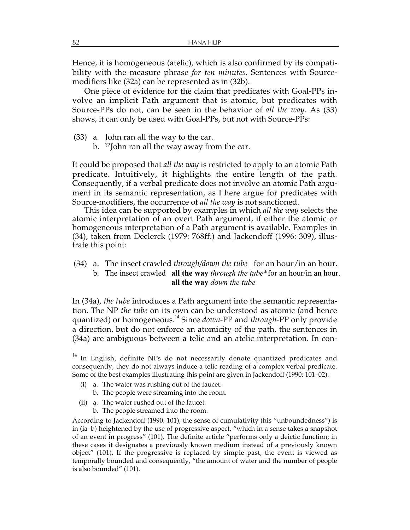Hence, it is homogeneous (atelic), which is also confirmed by its compatibility with the measure phrase *for ten minutes*. Sentences with Sourcemodifiers like (32a) can be represented as in (32b).

One piece of evidence for the claim that predicates with Goal-PPs involve an implicit Path argument that is atomic, but predicates with Source-PPs do not, can be seen in the behavior of *all the way*. As (33) shows, it can only be used with Goal-PPs, but not with Source-PPs:

(33) a. John ran all the way to the car.

b. ??John ran all the way away from the car.

It could be proposed that *all the way* is restricted to apply to an atomic Path predicate. Intuitively, it highlights the entire length of the path. Consequently, if a verbal predicate does not involve an atomic Path argument in its semantic representation, as I here argue for predicates with Source-modifiers, the occurrence of *all the way* is not sanctioned.

This idea can be supported by examples in which *all the way* selects the atomic interpretation of an overt Path argument, if either the atomic or homogeneous interpretation of a Path argument is available. Examples in (34), taken from Declerck (1979: 768ff.) and Jackendoff (1996: 309), illustrate this point:

(34) a. The insect crawled *through/down the tube* for an hour/in an hour. b. The insect crawled **all the way** *through the tube*\*for an hour/in an hour. **all the way** *down the tube*

In (34a), *the tube* introduces a Path argument into the semantic representation. The NP *the tube* on its own can be understood as atomic (and hence quantized) or homogeneous.14 Since *down*-PP and *through*-PP only provide a direction, but do not enforce an atomicity of the path, the sentences in (34a) are ambiguous between a telic and an atelic interpretation. In con-

- (i) a. The water was rushing out of the faucet.
	- b. The people were streaming into the room.
- (ii) a. The water rushed out of the faucet.
	- b. The people streamed into the room.

<sup>&</sup>lt;sup>14</sup> In English, definite NPs do not necessarily denote quantized predicates and consequently, they do not always induce a telic reading of a complex verbal predicate. Some of the best examples illustrating this point are given in Jackendoff (1990: 101–02):

According to Jackendoff (1990: 101), the sense of cumulativity (his "unboundedness") is in (ia–b) heightened by the use of progressive aspect, "which in a sense takes a snapshot of an event in progress" (101). The definite article "performs only a deictic function; in these cases it designates a previously known medium instead of a previously known object" (101). If the progressive is replaced by simple past, the event is viewed as temporally bounded and consequently, "the amount of water and the number of people is also bounded" (101).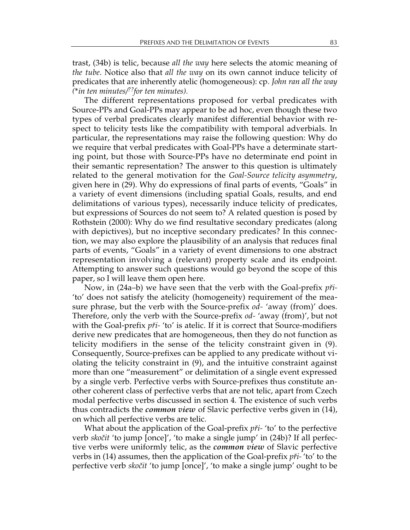trast, (34b) is telic, because *all the way* here selects the atomic meaning of *the tube*. Notice also that *all the way* on its own cannot induce telicity of predicates that are inherently atelic (homogeneous): cp. *John ran all the way (*\**in ten minutes/??for ten minutes).*

The different representations proposed for verbal predicates with Source-PPs and Goal-PPs may appear to be ad hoc, even though these two types of verbal predicates clearly manifest differential behavior with respect to telicity tests like the compatibility with temporal adverbials. In particular, the representations may raise the following question: Why do we require that verbal predicates with Goal-PPs have a determinate starting point, but those with Source-PPs have no determinate end point in their semantic representation? The answer to this question is ultimately related to the general motivation for the *Goal-Source telicity asymmetry*, given here in (29). Why do expressions of final parts of events, "Goals" in a variety of event dimensions (including spatial Goals, results, and end delimitations of various types), necessarily induce telicity of predicates, but expressions of Sources do not seem to? A related question is posed by Rothstein (2000): Why do we find resultative secondary predicates (along with depictives), but no inceptive secondary predicates? In this connection, we may also explore the plausibility of an analysis that reduces final parts of events, "Goals" in a variety of event dimensions to one abstract representation involving a (relevant) property scale and its endpoint. Attempting to answer such questions would go beyond the scope of this paper, so I will leave them open here.

Now, in (24a–b) we have seen that the verb with the Goal-prefix *pfii-* 'to' does not satisfy the atelicity (homogeneity) requirement of the measure phrase, but the verb with the Source-prefix *od-* 'away (from)' does. Therefore, only the verb with the Source-prefix *od-* 'away (from)', but not with the Goal-prefix *při-* 'to' is atelic. If it is correct that Source-modifiers derive new predicates that are homogeneous, then they do not function as telicity modifiers in the sense of the telicity constraint given in (9). Consequently, Source-prefixes can be applied to any predicate without violating the telicity constraint in (9), and the intuitive constraint against more than one "measurement" or delimitation of a single event expressed by a single verb. Perfective verbs with Source-prefixes thus constitute another coherent class of perfective verbs that are not telic, apart from Czech modal perfective verbs discussed in section 4. The existence of such verbs thus contradicts the *common view* of Slavic perfective verbs given in (14), on which all perfective verbs are telic.

What about the application of the Goal-prefix *při*-'to' to the perfective verb *skoãit* 'to jump [once]', 'to make a single jump' in (24b)? If all perfective verbs were uniformly telic, as the *common view* of Slavic perfective verbs in (14) assumes, then the application of the Goal-prefix *pfii-* 'to' to the perfective verb *skoãit* 'to jump [once]', 'to make a single jump' ought to be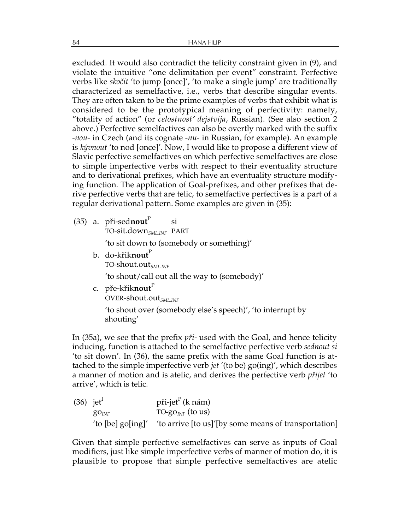excluded. It would also contradict the telicity constraint given in (9), and violate the intuitive "one delimitation per event" constraint. Perfective verbs like *skoãit* 'to jump [once]', 'to make a single jump' are traditionally characterized as semelfactive, i.e., verbs that describe singular events. They are often taken to be the prime examples of verbs that exhibit what is considered to be the prototypical meaning of perfectivity: namely, "totality of action" (or *celostnost*′ *dejstvija*, Russian). (See also section 2 above.) Perfective semelfactives can also be overtly marked with the suffix *-nou-* in Czech (and its cognate *-nu-* in Russian, for example). An example is *k˘vnout* 'to nod [once]'. Now, I would like to propose a different view of Slavic perfective semelfactives on which perfective semelfactives are close to simple imperfective verbs with respect to their eventuality structure and to derivational prefixes, which have an eventuality structure modifying function. The application of Goal-prefixes, and other prefixes that derive perfective verbs that are telic, to semelfactive perfectives is a part of a regular derivational pattern. Some examples are given in (35):

(35) a. při-sed**nout**<sup>P</sup> si

TO-sit.down*SML.INF* PART

'to sit down to (somebody or something)'

b. do-křik**nout<sup>P</sup>** TO-shout.out*SML.INF*

'to shout/call out all the way to (somebody)'

c. pře-křiknout<sup>P</sup>

OVER-shout.out<sub>*SMLINE*</sub>

'to shout over (somebody else's speech)', 'to interrupt by shouting'

In (35a), we see that the prefix *pfii-* used with the Goal, and hence telicity inducing, function is attached to the semelfactive perfective verb *sednout si* 'to sit down'. In (36), the same prefix with the same Goal function is attached to the simple imperfective verb *jet* '(to be) go(ing)', which describes a manner of motion and is atelic, and derives the perfective verb *pfiijet* 'to arrive', which is telic.

(36)  $\text{jet}^{\text{I}}$  při-jet<sup>P</sup> (k nám)  $\overline{SO_{INF}}$  TO-go<sub>INF</sub> (to us) 'to [be] go[ing]' 'to arrive [to us]'[by some means of transportation]

Given that simple perfective semelfactives can serve as inputs of Goal modifiers, just like simple imperfective verbs of manner of motion do, it is plausible to propose that simple perfective semelfactives are atelic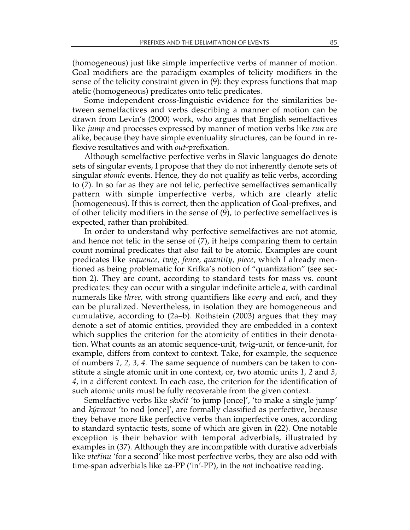(homogeneous) just like simple imperfective verbs of manner of motion. Goal modifiers are the paradigm examples of telicity modifiers in the sense of the telicity constraint given in (9): they express functions that map atelic (homogeneous) predicates onto telic predicates.

Some independent cross-linguistic evidence for the similarities between semelfactives and verbs describing a manner of motion can be drawn from Levin's (2000) work, who argues that English semelfactives like *jump* and processes expressed by manner of motion verbs like *run* are alike, because they have simple eventuality structures, can be found in reflexive resultatives and with *out*-prefixation.

Although semelfactive perfective verbs in Slavic languages do denote sets of singular events, I propose that they do not inherently denote sets of singular *atomic* events. Hence, they do not qualify as telic verbs, according to (7). In so far as they are not telic, perfective semelfactives semantically pattern with simple imperfective verbs, which are clearly atelic (homogeneous). If this is correct, then the application of Goal-prefixes, and of other telicity modifiers in the sense of (9), to perfective semelfactives is expected, rather than prohibited.

In order to understand why perfective semelfactives are not atomic, and hence not telic in the sense of (7), it helps comparing them to certain count nominal predicates that also fail to be atomic. Examples are count predicates like *sequence, twig, fence, quantity, piece*, which I already mentioned as being problematic for Krifka's notion of "quantization" (see section 2). They are count, according to standard tests for mass vs. count predicates: they can occur with a singular indefinite article *a*, with cardinal numerals like *three*, with strong quantifiers like *every* and *each*, and they can be pluralized. Nevertheless, in isolation they are homogeneous and cumulative, according to (2a–b). Rothstein (2003) argues that they may denote a set of atomic entities, provided they are embedded in a context which supplies the criterion for the atomicity of entities in their denotation. What counts as an atomic sequence-unit, twig-unit, or fence-unit, for example, differs from context to context. Take, for example, the sequence of numbers *1, 2, 3, 4.* The same sequence of numbers can be taken to constitute a single atomic unit in one context, or, two atomic units *1, 2* and *3, 4*, in a different context. In each case, the criterion for the identification of such atomic units must be fully recoverable from the given context.

Semelfactive verbs like *skoãit* 'to jump [once]', 'to make a single jump' and *k˘vnout* 'to nod [once]', are formally classified as perfective, because they behave more like perfective verbs than imperfective ones, according to standard syntactic tests, some of which are given in (22). One notable exception is their behavior with temporal adverbials, illustrated by examples in (37). Although they are incompatible with durative adverbials like *vtefiinu* 'for a second' like most perfective verbs, they are also odd with time-span adverbials like *za*-PP ('in'-PP), in the *not* inchoative reading.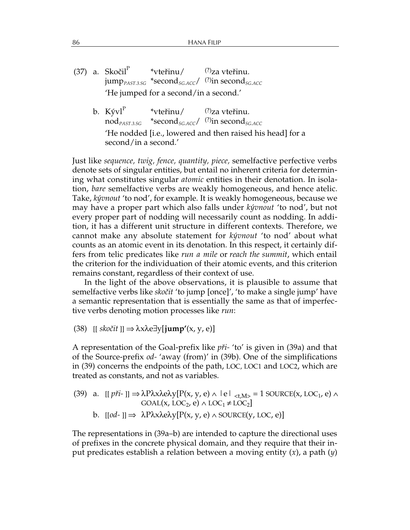- (37) a. Skočil $^{P}$  \*vteřinu/ (?)za vteřinu. jump*PAST.3.SG* \*second*SG.ACC*/ (?)in second*SG.ACC* 'He jumped for a second/in a second.'
	- b.  $K\acute{y}vl^{\prime}$  \*vteřinu/  $(?)$ za vteřinu. nod*PAST.3.SG* \*second*SG.ACC*/ (?)in second*SG.ACC* 'He nodded [i.e., lowered and then raised his head] for a second/in a second.'

Just like *sequence, twig, fence, quantity, piece,* semelfactive perfective verbs denote sets of singular entities, but entail no inherent criteria for determining what constitutes singular *atomic* entities in their denotation. In isolation, *bare* semelfactive verbs are weakly homogeneous, and hence atelic. Take, *k˘vnout* 'to nod', for example. It is weakly homogeneous, because we may have a proper part which also falls under *k˘vnout* 'to nod', but not every proper part of nodding will necessarily count as nodding. In addition, it has a different unit structure in different contexts. Therefore, we cannot make any absolute statement for *k˘vnout* 'to nod' about what counts as an atomic event in its denotation. In this respect, it certainly differs from telic predicates like *run a mile* or *reach the summit*, which entail the criterion for the individuation of their atomic events, and this criterion remains constant, regardless of their context of use.

In the light of the above observations, it is plausible to assume that semelfactive verbs like *skoãit* 'to jump [once]', 'to make a single jump' have a semantic representation that is essentially the same as that of imperfective verbs denoting motion processes like *run*:

(38) [[ *skoãit* ]] ⇒ λxλe∃y[**jump'**(x, y, e)]

A representation of the Goal-prefix like *pfii-* 'to' is given in (39a) and that of the Source-prefix *od-* 'away (from)' in (39b). One of the simplifications in (39) concerns the endpoints of the path, LOC, LOC1 and LOC2, which are treated as constants, and not as variables.

(39) a. 
$$
[[p\tilde{r}i-]] \Rightarrow \lambda P \lambda x \lambda e \lambda y [P(x, y, e) \land |e|_{< t, M>}= 1
$$
  $SOURCE(x, LOC_1, e) \land \text{GOAL}(x, LOC_2, e) \land LOC_1 \neq LOC_2]$  b.  $[[od-]] \Rightarrow \lambda P \lambda x \lambda e \lambda y [P(x, y, e) \land \text{SOURCE}(y, LOC, e)]$ 

The representations in (39a–b) are intended to capture the directional uses of prefixes in the concrete physical domain, and they require that their input predicates establish a relation between a moving entity (*x*), a path (*y*)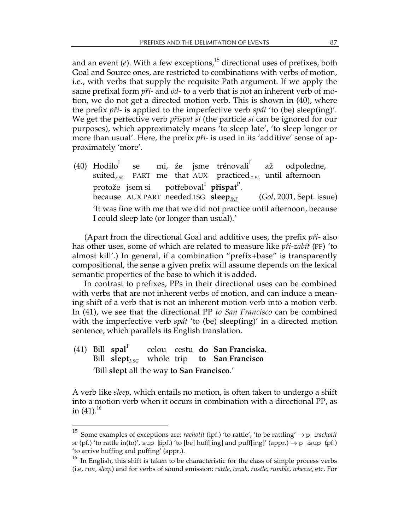and an event  $(e)$ . With a few exceptions,<sup>15</sup> directional uses of prefixes, both Goal and Source ones, are restricted to combinations with verbs of motion, i.e., with verbs that supply the requisite Path argument. If we apply the same prefixal form *pfii-* and *od-* to a verb that is not an inherent verb of motion, we do not get a directed motion verb. This is shown in (40), where the prefix *pfii-* is applied to the imperfective verb *spát* 'to (be) sleep(ing)'. We get the perfective verb *pfiispat si* (the particle *si* can be ignored for our purposes), which approximately means 'to sleep late', 'to sleep longer or more than usual'. Here, the prefix *pfii-* is used in its 'additive' sense of approximately 'more'.

(40) Hodilo<sup>I</sup> se mi, že jsme trénovali<sup>I</sup> až odpoledne, suited<sub>3.SG</sub> PART me that AUX practiced<sub>1.PL</sub> until afternoon protože jsem si potřeboval<sup>I</sup> přispat<sup>P</sup>. because AUX PART needed.1SG **sleep**<sub>*INF</sub>* (*Gol*, 2001, Sept. issue)</sub> 'It was fine with me that we did not practice until afternoon, because I could sleep late (or longer than usual).'

(Apart from the directional Goal and additive uses, the prefix *pfii-* also has other uses, some of which are related to measure like *pfii-zabít* (PF) 'to almost kill'.) In general, if a combination "prefix+base" is transparently compositional, the sense a given prefix will assume depends on the lexical semantic properties of the base to which it is added.

In contrast to prefixes, PPs in their directional uses can be combined with verbs that are not inherent verbs of motion, and can induce a meaning shift of a verb that is not an inherent motion verb into a motion verb. In (41), we see that the directional PP *to San Francisco* can be combined with the imperfective verb *spát* 'to (be) sleep(ing)' in a directed motion sentence, which parallels its English translation.

(41) Bill **spal<sup>1</sup>** celou cestu **do San Franciska.** Bill **slept***3.SG* whole trip **to San Francisco** 'Bill **slept** all the way **to San Francisco**.'

A verb like *sleep*, which entails no motion, is often taken to undergo a shift into a motion verb when it occurs in combination with a directional PP, as in  $(41).^{16}$ 

<sup>&</sup>lt;sup>15</sup> Some examples of exceptions are: *rachotit* (ipf.) 'to rattle', 'to be rattling'  $\rightarrow$  p *irachotit se* (pf.) 'to rattle in(to)', sup [ipf.) 'to [be] huff[ing] and puff[ing]' (appr.)  $\rightarrow$  p  $\pm$ sup (pf.) 'to arrive huffing and puffing' (appr.).

 $16$  In English, this shift is taken to be characteristic for the class of simple process verbs (i.e, *run, sleep*) and for verbs of sound emission: *rattle, croak, rustle, rumble, wheeze,* etc. For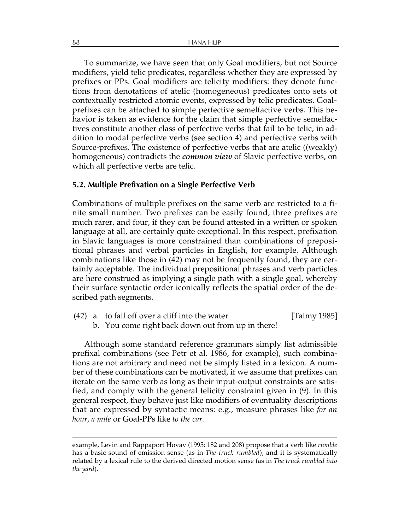To summarize, we have seen that only Goal modifiers, but not Source modifiers, yield telic predicates, regardless whether they are expressed by prefixes or PPs. Goal modifiers are telicity modifiers: they denote functions from denotations of atelic (homogeneous) predicates onto sets of contextually restricted atomic events, expressed by telic predicates. Goalprefixes can be attached to simple perfective semelfactive verbs. This behavior is taken as evidence for the claim that simple perfective semelfactives constitute another class of perfective verbs that fail to be telic, in addition to modal perfective verbs (see section 4) and perfective verbs with Source-prefixes. The existence of perfective verbs that are atelic ((weakly) homogeneous) contradicts the *common view* of Slavic perfective verbs, on which all perfective verbs are telic.

### **5.2. Multiple Prefixation on a Single Perfective Verb**

Combinations of multiple prefixes on the same verb are restricted to a finite small number. Two prefixes can be easily found, three prefixes are much rarer, and four, if they can be found attested in a written or spoken language at all, are certainly quite exceptional. In this respect, prefixation in Slavic languages is more constrained than combinations of prepositional phrases and verbal particles in English, for example. Although combinations like those in (42) may not be frequently found, they are certainly acceptable. The individual prepositional phrases and verb particles are here construed as implying a single path with a single goal, whereby their surface syntactic order iconically reflects the spatial order of the described path segments.

- (42) a. to fall off over a cliff into the water [Talmy 1985]
	- b. You come right back down out from up in there!

Although some standard reference grammars simply list admissible prefixal combinations (see Petr et al. 1986, for example), such combinations are not arbitrary and need not be simply listed in a lexicon. A number of these combinations can be motivated, if we assume that prefixes can iterate on the same verb as long as their input-output constraints are satisfied, and comply with the general telicity constraint given in (9). In this general respect, they behave just like modifiers of eventuality descriptions that are expressed by syntactic means: e.g., measure phrases like *for an hour, a mile* or Goal-PPs like *to the car*.

example, Levin and Rappaport Hovav (1995: 182 and 208) propose that a verb like *rumble* has a basic sound of emission sense (as in *The truck rumbled*), and it is systematically related by a lexical rule to the derived directed motion sense (as in *The truck rumbled into the yard*).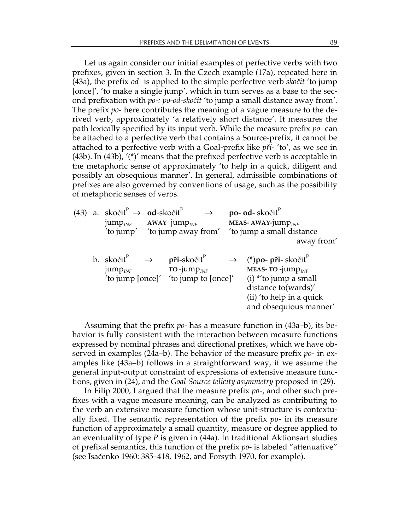Let us again consider our initial examples of perfective verbs with two prefixes, given in section 3. In the Czech example (17a), repeated here in (43a), the prefix *od-* is applied to the simple perfective verb *skoãit* 'to jump [once]', 'to make a single jump', which in turn serves as a base to the second prefixation with *po-: po-od-skoãit* 'to jump a small distance away from'. The prefix *po-* here contributes the meaning of a vague measure to the derived verb, approximately 'a relatively short distance'. It measures the path lexically specified by its input verb. While the measure prefix *po-* can be attached to a perfective verb that contains a Source-prefix, it cannot be attached to a perfective verb with a Goal-prefix like *pfii-* 'to', as we see in (43b). In (43b), '(\*)' means that the prefixed perfective verb is acceptable in the metaphoric sense of approximately 'to help in a quick, diligent and possibly an obsequious manner'. In general, admissible combinations of prefixes are also governed by conventions of usage, such as the possibility of metaphoric senses of verbs.

|  | (43) a. skočit <sup><math>P \rightarrow</math></sup> <b>od</b> -skočit <sup><math>P</math></sup><br>$jump_{INF}$ AWAY-jump <sub>INF</sub> | $\rightarrow$<br>'to jump' to jump away from'                                                                                                                 | po- od- skočit <sup>r</sup><br>MEAS-AWAY-jump $_{INF}$<br>'to jump a small distance                                                                                                                | away from' |
|--|-------------------------------------------------------------------------------------------------------------------------------------------|---------------------------------------------------------------------------------------------------------------------------------------------------------------|----------------------------------------------------------------------------------------------------------------------------------------------------------------------------------------------------|------------|
|  | $jump_{INF}$                                                                                                                              | b. skočit $\stackrel{p}{\longrightarrow}$ <b>při-</b> skočit $\stackrel{p}{\longrightarrow}$<br>$\text{TO-jump}_{INF}$<br>'to jump [once]' to jump to [once]' | $\rightarrow$ (*) po- při-skočit <sup>P</sup><br>MEAS-TO- $\frac{1}{2}$ ump <sub>INF</sub><br>$(i)$ *'to jump a small<br>distance to(wards)'<br>(ii) 'to help in a quick<br>and obsequious manner' |            |
|  | $\sim$ 1 $\sim$ 1 $\sim$ 1                                                                                                                |                                                                                                                                                               |                                                                                                                                                                                                    | (10.11)    |

Assuming that the prefix *po-* has a measure function in (43a–b), its behavior is fully consistent with the interaction between measure functions expressed by nominal phrases and directional prefixes, which we have observed in examples (24a–b). The behavior of the measure prefix *po-* in examples like (43a–b) follows in a straightforward way, if we assume the general input-output constraint of expressions of extensive measure functions, given in (24), and the *Goal-Source telicity asymmetry* proposed in (29).

In Filip 2000, I argued that the measure prefix *po-*, and other such prefixes with a vague measure meaning, can be analyzed as contributing to the verb an extensive measure function whose unit-structure is contextually fixed. The semantic representation of the prefix *po-* in its measure function of approximately a small quantity, measure or degree applied to an eventuality of type *P* is given in (44a). In traditional Aktionsart studies of prefixal semantics, this function of the prefix *po-* is labeled "attenuative" (see Isaãenko 1960: 385–418, 1962, and Forsyth 1970, for example).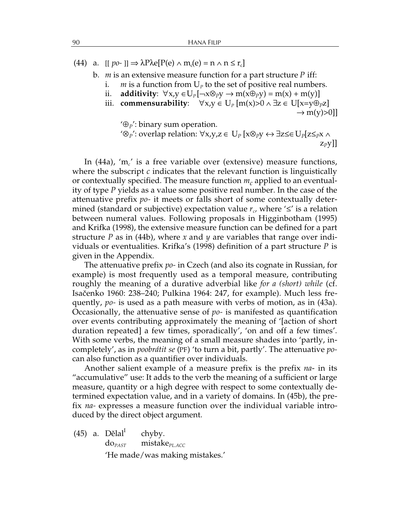(44) a.  $[[po-]] \Rightarrow \lambda P \lambda e[P(e) \wedge m_e(e) = n \wedge n \le r_c]$ 

b. *m* is an extensive measure function for a part structure *P* iff:

- i. *m* is a function from  $U_p$  to the set of positive real numbers.
- ii. **additivity**: ∀x,y ∈U<sub>P</sub>[¬x⊗<sub>*P</sub>*y → m(x⊕<sub>*P</sub>*y) = m(x) + m(y)]</sub></sub>
- iii. **commensurability**:  $\forall x, y \in U_p[m(x)>0 \land \exists z \in U[x=y\oplus_p z]$  $\rightarrow$  m(y) $>0$ ]]

'⊕*P*': binary sum operation.

'⊗*P*': overlap relation: ∀x,y,z ∈ U*P* [x⊗*P*y ↔ ∃z≤∈U*P*[z≤*P*x ∧ z*P*y]]

In (44a), 'm*c*' is a free variable over (extensive) measure functions, where the subscript *c* indicates that the relevant function is linguistically or contextually specified. The measure function  $m<sub>c</sub>$  applied to an eventuality of type *P* yields as a value some positive real number. In the case of the attenuative prefix *po-* it meets or falls short of some contextually determined (standard or subjective) expectation value  $r_c$ , where  $\leq$  is a relation between numeral values. Following proposals in Higginbotham (1995) and Krifka (1998), the extensive measure function can be defined for a part structure *P* as in (44b), where *x* and *y* are variables that range over individuals or eventualities. Krifka's (1998) definition of a part structure *P* is given in the Appendix.

The attenuative prefix *po-* in Czech (and also its cognate in Russian, for example) is most frequently used as a temporal measure, contributing roughly the meaning of a durative adverbial like *for a (short) while* (cf. Isaãenko 1960: 238–240; Pulkina 1964: 247, for example). Much less frequently, *po-* is used as a path measure with verbs of motion, as in (43a). Occasionally, the attenuative sense of *po-* is manifested as quantification over events contributing approximately the meaning of '[action of short duration repeated] a few times, sporadically', 'on and off a few times'. With some verbs, the meaning of a small measure shades into 'partly, incompletely', as in *poobrátit se* (PF) 'to turn a bit, partly'. The attenuative *po*can also function as a quantifier over individuals.

Another salient example of a measure prefix is the prefix *na*- in its "accumulative" use: It adds to the verb the meaning of a sufficient or large measure, quantity or a high degree with respect to some contextually determined expectation value, and in a variety of domains. In (45b), the prefix *na-* expresses a measure function over the individual variable introduced by the direct object argument.

 $(45)$  a. Dělal<sup>1</sup> chyby. do*PAST* mistake*PL.ACC* 'He made/was making mistakes.'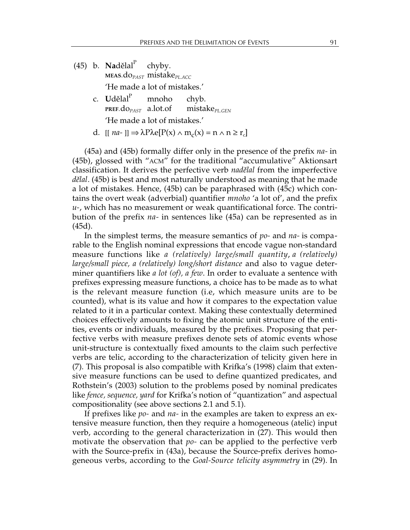- (45) b. **Naděl**al<sup>P</sup> chyby. **MEAS**.do*PAST* mistake*PL.ACC* 'He made a lot of mistakes.'
	- c. **U**dělal<sup>P</sup> mnoho chyb. **PREF**.do*PAST* a.lot.of mistake*PL.GEN* 'He made a lot of mistakes.'
	- d.  $[[ na-]] \Rightarrow \lambda P \lambda e[P(x) \wedge m_c(x) = n \wedge n \ge r_c]$

(45a) and (45b) formally differ only in the presence of the prefix *na-* in (45b), glossed with "ACM" for the traditional "accumulative" Aktionsart classification. It derives the perfective verb *nadûlal* from the imperfective *dûlal*. (45b) is best and most naturally understood as meaning that he made a lot of mistakes. Hence, (45b) can be paraphrased with (45c) which contains the overt weak (adverbial) quantifier *mnoho* 'a lot of', and the prefix *u-*, which has no measurement or weak quantificational force. The contribution of the prefix *na-* in sentences like (45a) can be represented as in (45d).

In the simplest terms, the measure semantics of *po-* and *na-* is comparable to the English nominal expressions that encode vague non-standard measure functions like *a (relatively) large/small quantity*, *a (relatively) large/small piece, a (relatively) long/short distance* and also to vague determiner quantifiers like *a lot (of), a few*. In order to evaluate a sentence with prefixes expressing measure functions, a choice has to be made as to what is the relevant measure function (i.e, which measure units are to be counted), what is its value and how it compares to the expectation value related to it in a particular context. Making these contextually determined choices effectively amounts to fixing the atomic unit structure of the entities, events or individuals, measured by the prefixes. Proposing that perfective verbs with measure prefixes denote sets of atomic events whose unit-structure is contextually fixed amounts to the claim such perfective verbs are telic, according to the characterization of telicity given here in (7). This proposal is also compatible with Krifka's (1998) claim that extensive measure functions can be used to define quantized predicates, and Rothstein's (2003) solution to the problems posed by nominal predicates like *fence, sequence, yard* for Krifka's notion of "quantization" and aspectual compositionality (see above sections 2.1 and 5.1).

If prefixes like *po-* and *na-* in the examples are taken to express an extensive measure function, then they require a homogeneous (atelic) input verb, according to the general characterization in (27). This would then motivate the observation that *po-* can be applied to the perfective verb with the Source-prefix in (43a), because the Source-prefix derives homogeneous verbs, according to the *Goal-Source telicity asymmetry* in (29). In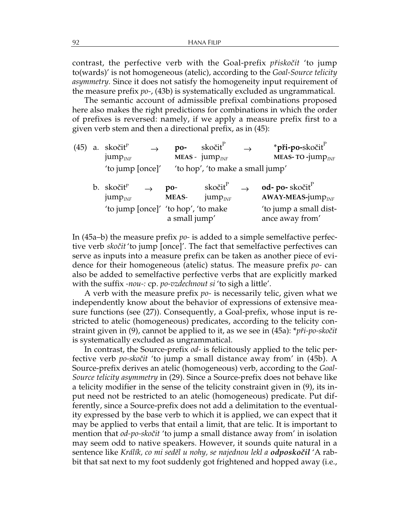contrast, the perfective verb with the Goal-prefix *pfiiskoãit* 'to jump to(wards)' is not homogeneous (atelic), according to the *Goal-Source telicity asymmetry.* Since it does not satisfy the homogeneity input requirement of the measure prefix *po-*, (43b) is systematically excluded as ungrammatical.

The semantic account of admissible prefixal combinations proposed here also makes the right predictions for combinations in which the order of prefixes is reversed: namely, if we apply a measure prefix first to a given verb stem and then a directional prefix, as in (45):

|  | $(45)$ a. skočit <sup>P</sup><br>$jump_{INF}$ | $po-$                                    | skočit <sup>P</sup><br>MEAS - $jump_{INF}$ | $\rightarrow$ | *při-po-skočit <sup>P</sup><br>MEAS-TO- $\text{jump}_{INF}$ |
|--|-----------------------------------------------|------------------------------------------|--------------------------------------------|---------------|-------------------------------------------------------------|
|  | 'to jump [once]'                              |                                          | 'to hop', 'to make a small jump'           |               |                                                             |
|  | b. skočit <sup>P</sup><br>jum $p_{INF}$       | $\mathbf{p}\mathbf{o}$ -<br><b>MEAS-</b> | skočit <sup>r</sup><br>jum $p_{INF}$       |               | od- po- skočiť<br>$AWAY-MEAS-jumpINF$                       |
|  | 'to jump [once]' 'to hop', 'to make           | a small jump'                            |                                            |               | 'to jump a small dist-<br>ance away from'                   |

In (45a–b) the measure prefix *po-* is added to a simple semelfactive perfective verb *skoãit*'to jump [once]'. The fact that semelfactive perfectives can serve as inputs into a measure prefix can be taken as another piece of evidence for their homogeneous (atelic) status. The measure prefix *po-* can also be added to semelfactive perfective verbs that are explicitly marked with the suffix *-nou-:* cp. *po-vzdechnout si* 'to sigh a little'.

A verb with the measure prefix *po-* is necessarily telic, given what we independently know about the behavior of expressions of extensive measure functions (see (27)). Consequently, a Goal-prefix, whose input is restricted to atelic (homogeneous) predicates, according to the telicity constraint given in (9), cannot be applied to it, as we see in (45a): \**pfii-po-skoãit* is systematically excluded as ungrammatical.

In contrast, the Source-prefix *od-* is felicitously applied to the telic perfective verb *po-skoãit* 'to jump a small distance away from' in (45b). A Source-prefix derives an atelic (homogeneous) verb, according to the *Goal-Source telicity asymmetry* in (29). Since a Source-prefix does not behave like a telicity modifier in the sense of the telicity constraint given in (9), its input need not be restricted to an atelic (homogeneous) predicate. Put differently, since a Source-prefix does not add a delimitation to the eventuality expressed by the base verb to which it is applied, we can expect that it may be applied to verbs that entail a limit, that are telic. It is important to mention that *od-po-skoãit* 'to jump a small distance away from' in isolation may seem odd to native speakers. However, it sounds quite natural in a sentence like *Králík, co mi sedûl u nohy, se najednou lekl a odposkoãil* 'A rabbit that sat next to my foot suddenly got frightened and hopped away (i.e.,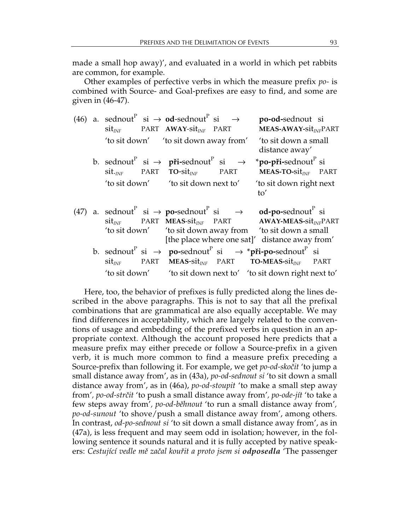made a small hop away)', and evaluated in a world in which pet rabbits are common, for example.

Other examples of perfective verbs in which the measure prefix *po-* is combined with Source- and Goal-prefixes are easy to find, and some are given in (46-47).

|  |                                    | (46) a. sednout <sup>P</sup> si $\rightarrow$ <b>od</b> -sednout <sup>P</sup> si $\rightarrow$<br>$\textbf{sit}_{\textit{INF}}$ PART AWAY- $\textbf{sit}_{\textit{INF}}$ PART | po-od-sednout si<br>MEAS-AWAY-sit <sub>INF</sub> PART                                                                                                                                                                                                              |  |
|--|------------------------------------|-------------------------------------------------------------------------------------------------------------------------------------------------------------------------------|--------------------------------------------------------------------------------------------------------------------------------------------------------------------------------------------------------------------------------------------------------------------|--|
|  |                                    | 'to sit down' to sit down away from'                                                                                                                                          | 'to sit down a small<br>distance away'                                                                                                                                                                                                                             |  |
|  |                                    | $sit.$ <sub><i>INF</i></sub> PART <b>TO-</b> $sit$ <sub><i>INF</i></sub> PART                                                                                                 | b. sednout si $\rightarrow$ při-sednout si $\rightarrow$ *po-při-sednout si<br>$MEAS-TO-sit_{INF}$ PART                                                                                                                                                            |  |
|  |                                    |                                                                                                                                                                               | 'to sit down' to sit down next to' to sit down right next<br>$\mathsf{to}'$                                                                                                                                                                                        |  |
|  |                                    |                                                                                                                                                                               | (47) a. sednout si $\rightarrow$ po-sednout si $\rightarrow$ od-po-sednout si<br>$sit_{INF}$ PART MEAS- $sit_{INF}$ PART AWAY-MEAS- $sit_{INF}$ PART<br>'to sit down' to sit down away from 'to sit down a small<br>[the place where one sat]' distance away from' |  |
|  | $\mathbf{sit}_{\mathit{INF}}$ PART |                                                                                                                                                                               | b. sednout <sup>P</sup> si $\rightarrow$ <b>po-</b> sednout <sup>P</sup> si $\rightarrow$ * <b>při-po-</b> sednout <sup>P</sup> si<br>$MEAS-sit_{INF}$ PART TO-MEAS- $sit_{INF}$ PART                                                                              |  |
|  |                                    |                                                                                                                                                                               | 'to sit down' to sit down next to' 'to sit down right next to'                                                                                                                                                                                                     |  |

Here, too, the behavior of prefixes is fully predicted along the lines described in the above paragraphs. This is not to say that all the prefixal combinations that are grammatical are also equally acceptable. We may find differences in acceptability, which are largely related to the conventions of usage and embedding of the prefixed verbs in question in an appropriate context. Although the account proposed here predicts that a measure prefix may either precede or follow a Source-prefix in a given verb, it is much more common to find a measure prefix preceding a Source-prefix than following it. For example, we get *po-od-skoãit* 'to jump a small distance away from', as in (43a), *po-od-sednout si* 'to sit down a small distance away from', as in (46a), *po-od-stoupit* 'to make a small step away from'*, po-od-strãit* 'to push a small distance away from'*, po-ode-jít* 'to take a few steps away from'*, po-od-bûhnout* 'to run a small distance away from'*, po-od-sunout* 'to shove/push a small distance away from', among others. In contrast, *od-po-sednout si* 'to sit down a small distance away from', as in (47a), is less frequent and may seem odd in isolation; however, in the following sentence it sounds natural and it is fully accepted by native speakers: *Cestující vedle mû zaãal koufiit a proto jsem si odposedla* 'The passenger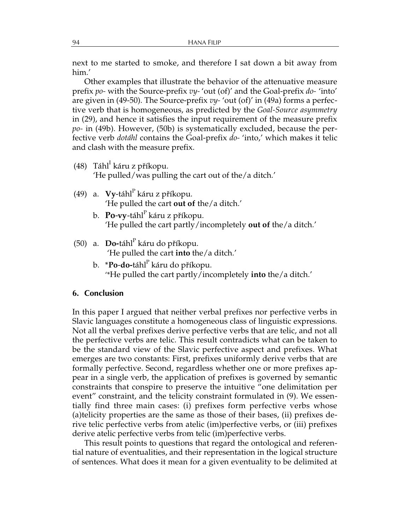next to me started to smoke, and therefore I sat down a bit away from him.'

Other examples that illustrate the behavior of the attenuative measure prefix *po-* with the Source-prefix *vy-* 'out (of)' and the Goal-prefix *do-* 'into' are given in (49-50). The Source-prefix *vy-* 'out (of)' in (49a) forms a perfective verb that is homogeneous, as predicted by the *Goal-Source asymmetry* in (29), and hence it satisfies the input requirement of the measure prefix *po-* in (49b). However, (50b) is systematically excluded, because the perfective verb *dotáhl* contains the Goal-prefix *do-* 'into,' which makes it telic and clash with the measure prefix.

- (48) Táhl<sup>I</sup> káru z příkopu. 'He pulled/was pulling the cart out of the/a ditch.'
- (49) a. **Vy-**táhl<sup>P</sup> káru z příkopu. 'He pulled the cart **out of** the/a ditch.'
	- b. **Po-vy-**táhl<sup>P</sup> káru z příkopu. 'He pulled the cart partly/incompletely **out of** the/a ditch.'
- (50)  $\,$ a.  $\,$  **Do-**táhl $\rm ^{P}$  káru do příkopu. 'He pulled the cart **into** the/a ditch.'
	- b. \***Po-do-**táhl<sup>P</sup> káru do příkopu. '\*He pulled the cart partly/incompletely **into** the/a ditch.'

#### **6. Conclusion**

In this paper I argued that neither verbal prefixes nor perfective verbs in Slavic languages constitute a homogeneous class of linguistic expressions. Not all the verbal prefixes derive perfective verbs that are telic, and not all the perfective verbs are telic. This result contradicts what can be taken to be the standard view of the Slavic perfective aspect and prefixes. What emerges are two constants: First, prefixes uniformly derive verbs that are formally perfective. Second, regardless whether one or more prefixes appear in a single verb, the application of prefixes is governed by semantic constraints that conspire to preserve the intuitive "one delimitation per event" constraint, and the telicity constraint formulated in (9). We essentially find three main cases: (i) prefixes form perfective verbs whose (a)telicity properties are the same as those of their bases, (ii) prefixes derive telic perfective verbs from atelic (im)perfective verbs, or (iii) prefixes derive atelic perfective verbs from telic (im)perfective verbs.

This result points to questions that regard the ontological and referential nature of eventualities, and their representation in the logical structure of sentences. What does it mean for a given eventuality to be delimited at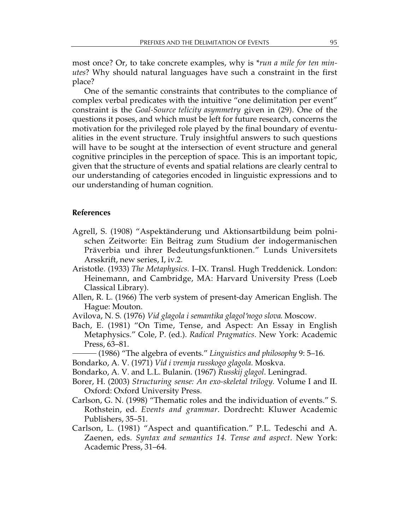most once? Or, to take concrete examples, why is \**run a mile for ten minutes*? Why should natural languages have such a constraint in the first place?

One of the semantic constraints that contributes to the compliance of complex verbal predicates with the intuitive "one delimitation per event" constraint is the *Goal-Source telicity asymmetry* given in (29). One of the questions it poses, and which must be left for future research, concerns the motivation for the privileged role played by the final boundary of eventualities in the event structure. Truly insightful answers to such questions will have to be sought at the intersection of event structure and general cognitive principles in the perception of space. This is an important topic, given that the structure of events and spatial relations are clearly central to our understanding of categories encoded in linguistic expressions and to our understanding of human cognition.

#### **References**

- Agrell, S. (1908) "Aspektänderung und Aktionsartbildung beim polnischen Zeitworte: Ein Beitrag zum Studium der indogermanischen Präverbia und ihrer Bedeutungsfunktionen." Lunds Universitets Arsskrift, new series, I, iv.2.
- Aristotle. (1933) *The Metaphysics.* I–IX. Transl. Hugh Treddenick. London: Heinemann, and Cambridge, MA: Harvard University Press (Loeb Classical Library).
- Allen, R. L. (1966) The verb system of present-day American English. The Hague: Mouton.
- Avilova, N. S. (1976) *Vid glagola i semantika glagol*′*nogo slova*. Moscow.
- Bach, E. (1981) "On Time, Tense, and Aspect: An Essay in English Metaphysics." Cole, P. (ed.). *Radical Pragmatics*. New York: Academic Press, 63–81.<br>— (1986) "The algebra of events." *Linguistics and philosophy* 9: 5–16.
- 
- Bondarko, A. V. (1971) *Vid i vremja russkogo glagola*. Moskva.
- Bondarko, A. V. and L.L. Bulanin. (1967) *Russkij glagol*. Leningrad.
- Borer, H. (2003) *Structuring sense: An exo-skeletal trilogy.* Volume I and II. Oxford: Oxford University Press.
- Carlson, G. N. (1998) "Thematic roles and the individuation of events." S. Rothstein, ed. *Events and grammar*. Dordrecht: Kluwer Academic Publishers, 35–51.
- Carlson, L. (1981) "Aspect and quantification." P.L. Tedeschi and A. Zaenen, eds. *Syntax and semantics 14. Tense and aspect*. New York: Academic Press, 31–64.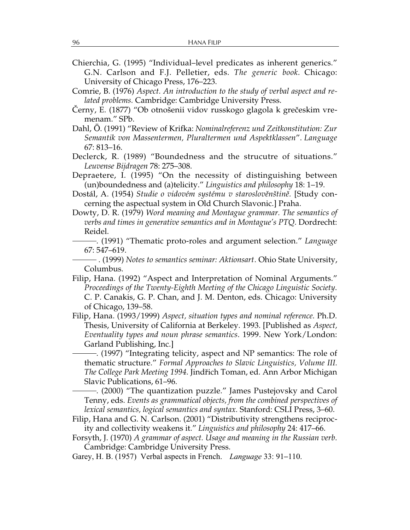- Chierchia, G. (1995) "Individual–level predicates as inherent generics." G.N. Carlson and F.J. Pelletier, eds. *The generic book*. Chicago: University of Chicago Press, 176–223.
- Comrie, B. (1976) *Aspect. An introduction to the study of verbal aspect and related problems.* Cambridge: Cambridge University Press.
- Černy, E. (1877) "Ob otnošenii vidov russkogo glagola k grečeskim vremenam." SPb.
- Dahl, Ö. (1991) "Review of Krifka: *Nominalreferenz und Zeitkonstitution: Zur Semantik von Massentermen, Pluraltermen und Aspektklassen*". *Language* 67: 813–16.
- Declerck, R. (1989) "Boundedness and the strucutre of situations." *Leuvense Bijdragen* 78: 275–308.
- Depraetere, I. (1995) "On the necessity of distinguishing between (un)boundedness and (a)telicity." *Linguistics and philosophy* 18: 1–19.
- Dostál, A. (1954) *Studie o vidovém systému v staroslovûn‰tinû.* [Study concerning the aspectual system in Old Church Slavonic.] Praha.
- Dowty, D. R. (1979) *Word meaning and Montague grammar. The semantics of verbs and times in generative semantics and in Montague's PTQ*. Dordrecht: Reidel. . (1991) "Thematic proto-roles and argument selection." *Language*
	- 67: 547–619. . (1999) *Notes to semantics seminar: Aktionsart*. Ohio State University,
	- Columbus.
- Filip, Hana. (1992) "Aspect and Interpretation of Nominal Arguments." *Proceedings of the Twenty-Eighth Meeting of the Chicago Linguistic Society*. C. P. Canakis, G. P. Chan, and J. M. Denton, eds. Chicago: University of Chicago, 139–58.
- Filip, Hana. (1993/1999) *Aspect, situation types and nominal reference*. Ph.D. Thesis, University of California at Berkeley. 1993. [Published as *Aspect, Eventuality types and noun phrase semantics*. 1999. New York/London:
- $-$ . (1997) "Integrating telicity, aspect and NP semantics: The role of thematic structure." *Formal Approaches to Slavic Linguistics, Volume III. The College Park Meeting 1994*. Jindfiich Toman, ed. Ann Arbor Michigan Slavic Publications, 61–96.<br>— (2000) "The quantization puzzle." James Pustejovsky and Carol
- Tenny, eds. *Events as grammatical objects, from the combined perspectives of lexical semantics, logical semantics and syntax.* Stanford: CSLI Press, 3–60.
- Filip, Hana and G. N. Carlson. (2001) "Distributivity strengthens reciprocity and collectivity weakens it." *Linguistics and philosophy* 24: 417–66.
- Forsyth, J. (1970) *A grammar of aspect. Usage and meaning in the Russian verb*. Cambridge: Cambridge University Press.
- Garey, H. B. (1957) Verbal aspects in French. *Language* 33: 91–110.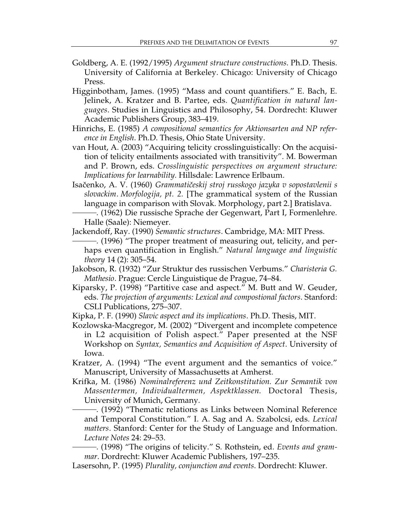- Goldberg, A. E. (1992/1995) *Argument structure constructions*. Ph.D. Thesis. University of California at Berkeley. Chicago: University of Chicago Press.
- Higginbotham, James. (1995) "Mass and count quantifiers." E. Bach, E. Jelinek, A. Kratzer and B. Partee, eds. *Quantification in natural languages*. Studies in Linguistics and Philosophy, 54. Dordrecht: Kluwer Academic Publishers Group, 383–419.
- Hinrichs, E. (1985) *A compositional semantics for Aktionsarten and NP reference in English*. Ph.D. Thesis, Ohio State University.
- van Hout, A. (2003) "Acquiring telicity crosslinguistically: On the acquisition of telicity entailments associated with transitivity". M. Bowerman and P. Brown, eds. *Crosslinguistic perspectives on argument structure: Implications for learnability.* Hillsdale: Lawrence Erlbaum.
- Isaãenko, A. V. (1960) *Grammatiãeskij stroj russkogo jazyka v sopostavlenii s slovackim*. *Morfologija, pt. 2.* [The grammatical system of the Russian language in comparison with Slovak. Morphology, part 2.] Bratislava.<br>- (1962) Die russische Sprache der Gegenwart, Part I, Formenlehre.
- Halle (Saale): Niemeyer.<br>Jackendoff, Ray. (1990) Semantic structures. Cambridge, MA: MIT Press.

- $\rightarrow$  (1996) "The proper treatment of measuring out, telicity, and perhaps even quantification in English." *Natural language and linguistic theory* 14 (2): 305–54.
- Jakobson, R. (1932) "Zur Struktur des russischen Verbums." *Charisteria G. Mathesio*. Prague: Cercle Linguistique de Prague, 74–84.
- Kiparsky, P. (1998) "Partitive case and aspect." M. Butt and W. Geuder, eds. *The projection of arguments: Lexical and compostional factors*. Stanford: CSLI Publications, 275–307.
- Kipka, P. F. (1990) *Slavic aspect and its implications*. Ph.D. Thesis, MIT.
- Kozlowska-Macgregor, M. (2002) "Divergent and incomplete competence in L2 acquisition of Polish aspect." Paper presented at the NSF Workshop on *Syntax, Semantics and Acquisition of Aspect*. University of Iowa.
- Kratzer, A. (1994) "The event argument and the semantics of voice." Manuscript, University of Massachusetts at Amherst.
- Krifka, M. (1986) *Nominalreferenz und Zeitkonstitution. Zur Semantik von Massentermen, Individualtermen, Aspektklassen*. Doctoral Thesis,
	- University of Munich, Germany. . (1992) "Thematic relations as Links between Nominal Reference and Temporal Constitution." I. A. Sag and A. Szabolcsi, eds. *Lexical matters*. Stanford: Center for the Study of Language and Information. Lecture Notes 24: 29–53.<br>— (1998) "The origins of telicity." S. Rothstein, ed. *Events and gram-*
	- *mar*. Dordrecht: Kluwer Academic Publishers, 197–235.
- Lasersohn, P. (1995) *Plurality, conjunction and events*. Dordrecht: Kluwer.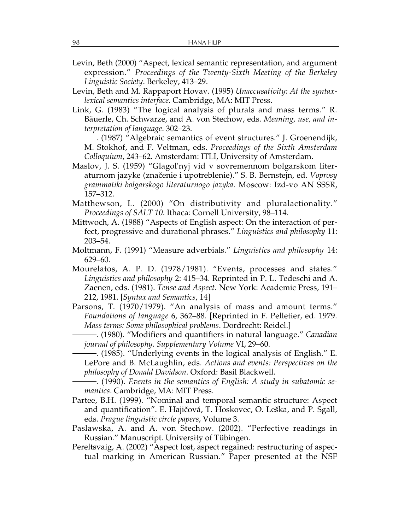- Levin, Beth (2000) "Aspect, lexical semantic representation, and argument expression." *Proceedings of the Twenty-Sixth Meeting of the Berkeley Linguistic Society*. Berkeley, 413–29.
- Levin, Beth and M. Rappaport Hovav. (1995) *Unaccusativity: At the syntaxlexical semantics interface.* Cambridge, MA: MIT Press.
- Link, G. (1983) "The logical analysis of plurals and mass terms." R. Bäuerle, Ch. Schwarze, and A. von Stechow, eds. *Meaning, use, and interpretation of language*. 302–23. . *(1987) erpretation of language.* 302–23. . (1987) "Algebraic semantics of event structures." J. Groenendijk,
	- M. Stokhof, and F. Veltman, eds. *Proceedings of the Sixth Amsterdam Colloquium*, 243–62. Amsterdam: ITLI, University of Amsterdam.
- Maslov, J. S. (1959) "Glagol'nyj vid v sovremennom bolgarskom literaturnom jazyke (znaãenie i upotreblenie)." S. B. Bernstejn, ed. *Voprosy grammatiki bolgarskogo literaturnogo jazyka*. Moscow: Izd-vo AN SSSR, 157–312.
- Matthewson, L. (2000) "On distributivity and pluralactionality." *Proceedings of SALT 10*. Ithaca: Cornell University, 98–114.
- Mittwoch, A. (1988) "Aspects of English aspect: On the interaction of perfect, progressive and durational phrases." *Linguistics and philosophy* 11: 203–54.
- Moltmann, F. (1991) "Measure adverbials." *Linguistics and philosophy* 14: 629–60.
- Mourelatos, A. P. D. (1978/1981). "Events, processes and states." *Linguistics and philosophy* 2: 415–34. Reprinted in P. L. Tedeschi and A. Zaenen, eds. (1981). *Tense and Aspect.* New York: Academic Press, 191– 212, 1981. [*Syntax and Semantics*, 14]
- Parsons, T. (1970/1979). "An analysis of mass and amount terms." *Foundations of language* 6, 362–88. [Reprinted in F. Pelletier, ed. 1979. *Mass terms: Some philosophical problems*. Dordrecht: Reidel.] . (1980). "Modifiers and quantifiers in natural language." *Canadian*
- *journal of philosophy. Supplementary Volume VI, 29–60.* . . . . . *(1985).* "Underlying events in the logical analysis of English." E.
	- LePore and B. McLaughlin, eds. *Actions and events: Perspectives on the philosophy of Donald Davidson.* Oxford: Basil Blackwell.<br>
	- (1990). Events in the semantics of English: A study in subatomic se-

*mantics*. Cambridge, MA: MIT Press.

- Partee, B.H. (1999). "Nominal and temporal semantic structure: Aspect and quantification". E. Hajičová, T. Hoskovec, O. Leška, and P. Sgall, eds. *Prague linguistic circle papers*, Volume 3.
- Paslawska, A. and A. von Stechow. (2002). "Perfective readings in Russian." Manuscript. University of Tübingen.
- Pereltsvaig, A. (2002) "Aspect lost, aspect regained: restructuring of aspectual marking in American Russian." Paper presented at the NSF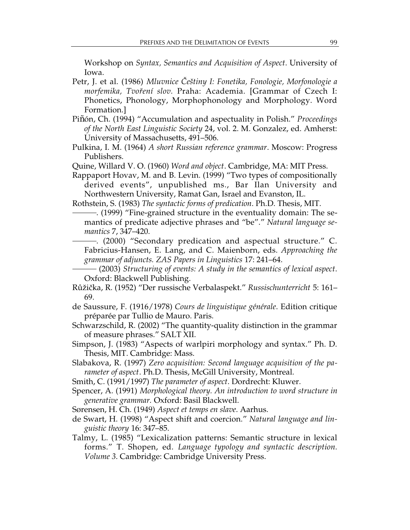Workshop on *Syntax, Semantics and Acquisition of Aspect*. University of Iowa.

- Petr, J. et al. (1986) *Mluvnice Češtiny I: Fonetika, Fonologie, Morfonologie a morfemika, Tvofiení slov.* Praha: Academia. [Grammar of Czech I: Phonetics, Phonology, Morphophonology and Morphology. Word Formation.]
- Piñón, Ch. (1994) "Accumulation and aspectuality in Polish." *Proceedings of the North East Linguistic Society* 24, vol. 2. M. Gonzalez, ed. Amherst: University of Massachusetts, 491–506.
- Pulkina, I. M. (1964) *A short Russian reference grammar*. Moscow: Progress Publishers.
- Quine, Willard V. O. (1960) *Word and object*. Cambridge, MA: MIT Press.
- Rappaport Hovav, M. and B. Levin. (1999) "Two types of compositionally derived events", unpublished ms., Bar Ilan University and Northwestern University, Ramat Gan, Israel and Evanston, IL.
- Rothstein, S. (1983) *The syntactic forms of predication*. Ph.D. Thesis, MIT.<br>----------. (1999) "Fine-grained structure in the eventuality domain: The se-
- mantics of predicate adjective phrases and "be"." *Natural language semantics* 7, 347–420.<br>——. (2000) "Secondary predication and aspectual structure." C.

Fabricius-Hansen, E. Lang, and C. Maienborn, eds. *Approaching the grammar of adjuncts. ZAS Papers in Linguistics* 17: 241–64. (2003) *Structuring of events: A study in the semantics of lexical aspect*.

- Oxford: Blackwell Publishing.
- RÛÏiãka, R. (1952) "Der russische Verbalaspekt." *Russischunterricht* 5: 161– 69.
- de Saussure, F. (1916/1978) *Cours de linguistique générale*. Edition critique préparée par Tullio de Mauro. Paris.
- Schwarzschild, R. (2002) "The quantity-quality distinction in the grammar of measure phrases." SALT XII.
- Simpson, J. (1983) "Aspects of warlpiri morphology and syntax." Ph. D. Thesis, MIT. Cambridge: Mass.
- Slabakova, R. (1997) *Zero acquisition: Second language acquisition of the parameter of aspect*. Ph.D. Thesis, McGill University, Montreal.
- Smith, C. (1991/1997) *The parameter of aspect*. Dordrecht: Kluwer.
- Spencer, A. (1991) *Morphological theory. An introduction to word structure in generative grammar.* Oxford: Basil Blackwell.
- Sørensen, H. Ch. (1949) *Aspect et temps en slave*. Aarhus.
- de Swart, H. (1998) "Aspect shift and coercion." *Natural language and linguistic theory* 16: 347–85.
- Talmy, L. (1985) "Lexicalization patterns: Semantic structure in lexical forms." T. Shopen, ed. *Language typology and syntactic description. Volume 3*. Cambridge: Cambridge University Press.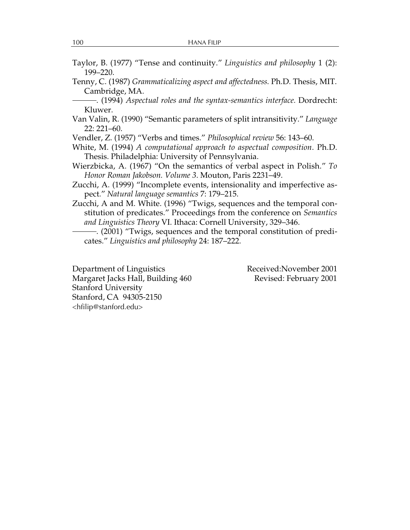Taylor, B. (1977) "Tense and continuity." *Linguistics and philosophy* 1 (2):

| Tenny, C. (1987) Grammaticalizing aspect and affectedness. Ph.D. Thesis, MIT. |                        |
|-------------------------------------------------------------------------------|------------------------|
| Cambridge, MA.                                                                |                        |
|                                                                               |                        |
| Kluwer.                                                                       |                        |
| Van Valin, R. (1990) "Semantic parameters of split intransitivity." Language  |                        |
| $22:221-60.$                                                                  |                        |
| Vendler, Z. (1957) "Verbs and times." Philosophical review 56: 143-60.        |                        |
| White, M. (1994) A computational approach to aspectual composition. Ph.D.     |                        |
| Thesis. Philadelphia: University of Pennsylvania.                             |                        |
| Wierzbicka, A. (1967) "On the semantics of verbal aspect in Polish." To       |                        |
| Honor Roman Jakobson. Volume 3. Mouton, Paris 2231-49.                        |                        |
| Zucchi, A. (1999) "Incomplete events, intensionality and imperfective as-     |                        |
| pect." Natural language semantics 7: 179-215.                                 |                        |
| Zucchi, A and M. White. (1996) "Twigs, sequences and the temporal con-        |                        |
| stitution of predicates." Proceedings from the conference on Semantics        |                        |
| and Linguistics Theory VI. Ithaca: Cornell University, 329-346.               |                        |
| -. (2001) "Twigs, sequences and the temporal constitution of predi-           |                        |
| cates." Linguistics and philosophy 24: 187-222.                               |                        |
|                                                                               |                        |
| Department of Linguistics                                                     | Received:November 2001 |
| Margaret Jacks Hall, Building 460                                             | Revised: February 2001 |
| <b>Stanford University</b>                                                    |                        |
| Stanford, CA 94305-2150                                                       |                        |

199–220.

<hfilip@stanford.edu>